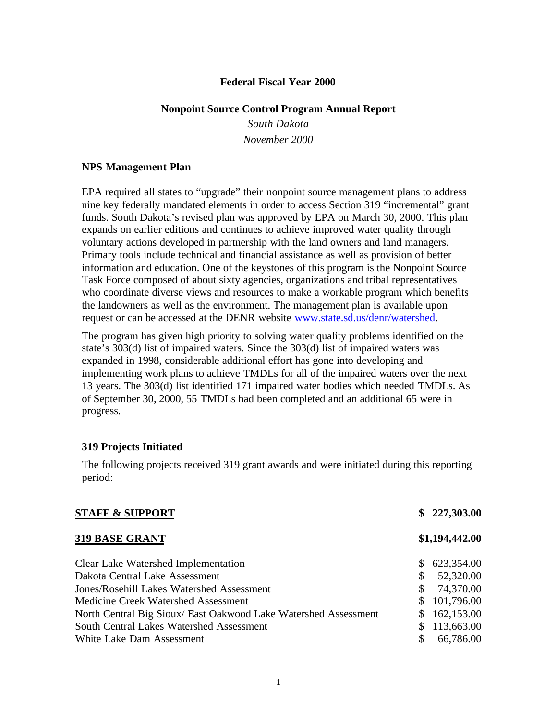#### **Federal Fiscal Year 2000**

#### **Nonpoint Source Control Program Annual Report**

*South Dakota November 2000*

#### **NPS Management Plan**

EPA required all states to "upgrade" their nonpoint source management plans to address nine key federally mandated elements in order to access Section 319 "incremental" grant funds. South Dakota's revised plan was approved by EPA on March 30, 2000. This plan expands on earlier editions and continues to achieve improved water quality through voluntary actions developed in partnership with the land owners and land managers. Primary tools include technical and financial assistance as well as provision of better information and education. One of the keystones of this program is the Nonpoint Source Task Force composed of about sixty agencies, organizations and tribal representatives who coordinate diverse views and resources to make a workable program which benefits the landowners as well as the environment. The management plan is available upon request or can be accessed at the DENR website www.state.sd.us/denr/watershed.

The program has given high priority to solving water quality problems identified on the state's 303(d) list of impaired waters. Since the 303(d) list of impaired waters was expanded in 1998, considerable additional effort has gone into developing and implementing work plans to achieve TMDLs for all of the impaired waters over the next 13 years. The 303(d) list identified 171 impaired water bodies which needed TMDLs. As of September 30, 2000, 55 TMDLs had been completed and an additional 65 were in progress.

#### **319 Projects Initiated**

The following projects received 319 grant awards and were initiated during this reporting period:

|    | \$227,303.00   |
|----|----------------|
|    | \$1,194,442.00 |
| S. | 623,354.00     |
| \$ | 52,320.00      |
| \$ | 74,370.00      |
|    | 101,796.00     |
|    | 162,153.00     |
|    | 113,663.00     |
|    | 66,786.00      |
|    |                |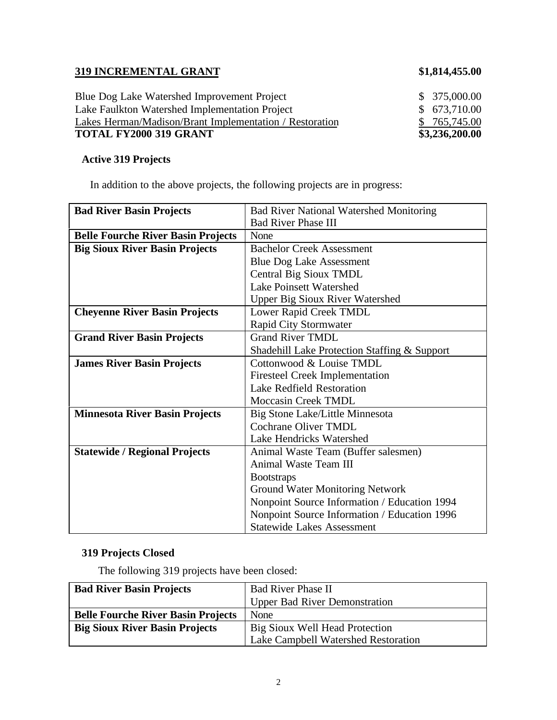# **319 INCREMENTAL GRANT \$1,814,455.00**

| <b>TOTAL FY2000 319 GRANT</b>                           | \$3,236,200.00 |
|---------------------------------------------------------|----------------|
| Lakes Herman/Madison/Brant Implementation / Restoration | \$765,745.00   |
| Lake Faulkton Watershed Implementation Project          | \$ 673,710.00  |
| Blue Dog Lake Watershed Improvement Project             | \$375,000.00   |

# **Active 319 Projects**

In addition to the above projects, the following projects are in progress:

| <b>Bad River Basin Projects</b>           | <b>Bad River National Watershed Monitoring</b> |
|-------------------------------------------|------------------------------------------------|
|                                           | <b>Bad River Phase III</b>                     |
| <b>Belle Fourche River Basin Projects</b> | None                                           |
| <b>Big Sioux River Basin Projects</b>     | <b>Bachelor Creek Assessment</b>               |
|                                           | <b>Blue Dog Lake Assessment</b>                |
|                                           | Central Big Sioux TMDL                         |
|                                           | <b>Lake Poinsett Watershed</b>                 |
|                                           | <b>Upper Big Sioux River Watershed</b>         |
| <b>Cheyenne River Basin Projects</b>      | Lower Rapid Creek TMDL                         |
|                                           | Rapid City Stormwater                          |
| <b>Grand River Basin Projects</b>         | <b>Grand River TMDL</b>                        |
|                                           | Shadehill Lake Protection Staffing & Support   |
| <b>James River Basin Projects</b>         | Cottonwood & Louise TMDL                       |
|                                           | <b>Firesteel Creek Implementation</b>          |
|                                           | Lake Redfield Restoration                      |
|                                           | Moccasin Creek TMDL                            |
| <b>Minnesota River Basin Projects</b>     | Big Stone Lake/Little Minnesota                |
|                                           | Cochrane Oliver TMDL                           |
|                                           | Lake Hendricks Watershed                       |
| <b>Statewide / Regional Projects</b>      | Animal Waste Team (Buffer salesmen)            |
|                                           | Animal Waste Team III                          |
|                                           | <b>Bootstraps</b>                              |
|                                           | Ground Water Monitoring Network                |
|                                           | Nonpoint Source Information / Education 1994   |
|                                           | Nonpoint Source Information / Education 1996   |
|                                           | <b>Statewide Lakes Assessment</b>              |

# **319 Projects Closed**

The following 319 projects have been closed:

| <b>Bad River Basin Projects</b>           | <b>Bad River Phase II</b>            |  |
|-------------------------------------------|--------------------------------------|--|
|                                           | <b>Upper Bad River Demonstration</b> |  |
| <b>Belle Fourche River Basin Projects</b> | None                                 |  |
| <b>Big Sioux River Basin Projects</b>     | Big Sioux Well Head Protection       |  |
|                                           | Lake Campbell Watershed Restoration  |  |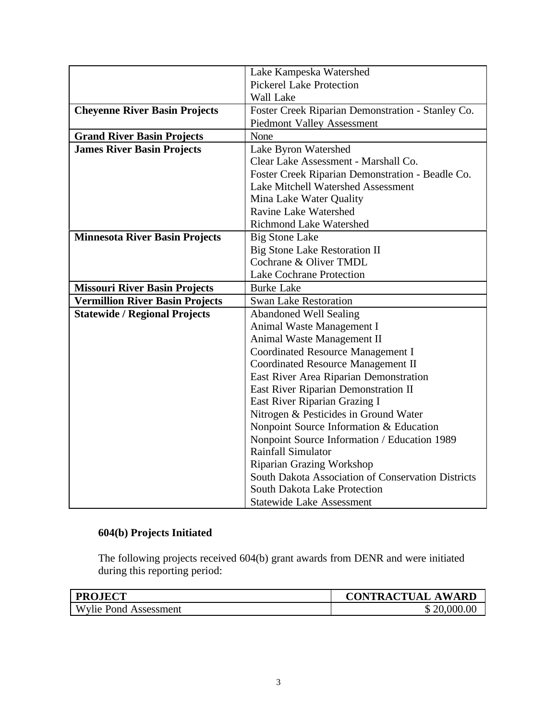|                                        | Lake Kampeska Watershed                            |
|----------------------------------------|----------------------------------------------------|
|                                        | <b>Pickerel Lake Protection</b>                    |
|                                        | Wall Lake                                          |
| <b>Cheyenne River Basin Projects</b>   | Foster Creek Riparian Demonstration - Stanley Co.  |
|                                        | <b>Piedmont Valley Assessment</b>                  |
| <b>Grand River Basin Projects</b>      | None                                               |
| <b>James River Basin Projects</b>      | Lake Byron Watershed                               |
|                                        | Clear Lake Assessment - Marshall Co.               |
|                                        | Foster Creek Riparian Demonstration - Beadle Co.   |
|                                        | <b>Lake Mitchell Watershed Assessment</b>          |
|                                        | Mina Lake Water Quality                            |
|                                        | Ravine Lake Watershed                              |
|                                        | <b>Richmond Lake Watershed</b>                     |
| <b>Minnesota River Basin Projects</b>  | <b>Big Stone Lake</b>                              |
|                                        | <b>Big Stone Lake Restoration II</b>               |
|                                        | Cochrane & Oliver TMDL                             |
|                                        | <b>Lake Cochrane Protection</b>                    |
| <b>Missouri River Basin Projects</b>   | <b>Burke Lake</b>                                  |
| <b>Vermillion River Basin Projects</b> | <b>Swan Lake Restoration</b>                       |
| <b>Statewide / Regional Projects</b>   | <b>Abandoned Well Sealing</b>                      |
|                                        | Animal Waste Management I                          |
|                                        | Animal Waste Management II                         |
|                                        | Coordinated Resource Management I                  |
|                                        | <b>Coordinated Resource Management II</b>          |
|                                        | East River Area Riparian Demonstration             |
|                                        | East River Riparian Demonstration II               |
|                                        | East River Riparian Grazing I                      |
|                                        | Nitrogen & Pesticides in Ground Water              |
|                                        | Nonpoint Source Information & Education            |
|                                        | Nonpoint Source Information / Education 1989       |
|                                        | <b>Rainfall Simulator</b>                          |
|                                        | Riparian Grazing Workshop                          |
|                                        | South Dakota Association of Conservation Districts |
|                                        | South Dakota Lake Protection                       |
|                                        | <b>Statewide Lake Assessment</b>                   |

# **604(b) Projects Initiated**

The following projects received 604(b) grant awards from DENR and were initiated during this reporting period:

| <b>PROJECT</b>               | <b>CONTRACTUAL AWARD</b> |
|------------------------------|--------------------------|
| <b>Wylie Pond Assessment</b> | 20,000.00                |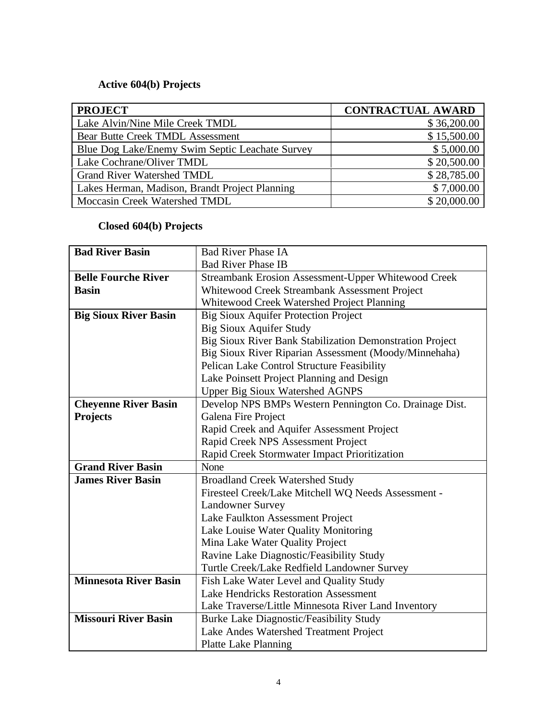# **Active 604(b) Projects**

| <b>PROJECT</b>                                  | <b>CONTRACTUAL AWARD</b> |
|-------------------------------------------------|--------------------------|
| Lake Alvin/Nine Mile Creek TMDL                 | \$36,200.00              |
| <b>Bear Butte Creek TMDL Assessment</b>         | \$15,500.00              |
| Blue Dog Lake/Enemy Swim Septic Leachate Survey | \$5,000.00               |
| Lake Cochrane/Oliver TMDL                       | \$20,500.00              |
| <b>Grand River Watershed TMDL</b>               | \$28,785.00              |
| Lakes Herman, Madison, Brandt Project Planning  | \$7,000.00               |
| Moccasin Creek Watershed TMDL                   | \$20,000.00              |

# **Closed 604(b) Projects**

| <b>Bad River Basin</b>       | <b>Bad River Phase IA</b>                                |
|------------------------------|----------------------------------------------------------|
|                              | <b>Bad River Phase IB</b>                                |
| <b>Belle Fourche River</b>   | Streambank Erosion Assessment-Upper Whitewood Creek      |
| <b>Basin</b>                 | Whitewood Creek Streambank Assessment Project            |
|                              | Whitewood Creek Watershed Project Planning               |
| <b>Big Sioux River Basin</b> | <b>Big Sioux Aquifer Protection Project</b>              |
|                              | <b>Big Sioux Aquifer Study</b>                           |
|                              | Big Sioux River Bank Stabilization Demonstration Project |
|                              | Big Sioux River Riparian Assessment (Moody/Minnehaha)    |
|                              | Pelican Lake Control Structure Feasibility               |
|                              | Lake Poinsett Project Planning and Design                |
|                              | <b>Upper Big Sioux Watershed AGNPS</b>                   |
| <b>Cheyenne River Basin</b>  | Develop NPS BMPs Western Pennington Co. Drainage Dist.   |
| <b>Projects</b>              | Galena Fire Project                                      |
|                              | Rapid Creek and Aquifer Assessment Project               |
|                              | Rapid Creek NPS Assessment Project                       |
|                              | Rapid Creek Stormwater Impact Prioritization             |
| <b>Grand River Basin</b>     | None                                                     |
| <b>James River Basin</b>     | <b>Broadland Creek Watershed Study</b>                   |
|                              | Firesteel Creek/Lake Mitchell WQ Needs Assessment -      |
|                              | <b>Landowner Survey</b>                                  |
|                              | Lake Faulkton Assessment Project                         |
|                              | Lake Louise Water Quality Monitoring                     |
|                              | Mina Lake Water Quality Project                          |
|                              | Ravine Lake Diagnostic/Feasibility Study                 |
|                              | Turtle Creek/Lake Redfield Landowner Survey              |
| <b>Minnesota River Basin</b> | Fish Lake Water Level and Quality Study                  |
|                              | <b>Lake Hendricks Restoration Assessment</b>             |
|                              | Lake Traverse/Little Minnesota River Land Inventory      |
| <b>Missouri River Basin</b>  | Burke Lake Diagnostic/Feasibility Study                  |
|                              | Lake Andes Watershed Treatment Project                   |
|                              | <b>Platte Lake Planning</b>                              |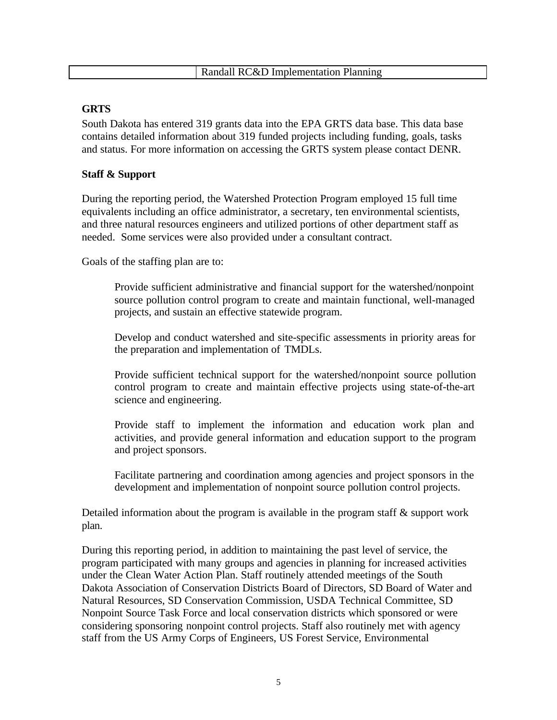## **GRTS**

South Dakota has entered 319 grants data into the EPA GRTS data base. This data base contains detailed information about 319 funded projects including funding, goals, tasks and status. For more information on accessing the GRTS system please contact DENR.

# **Staff & Support**

During the reporting period, the Watershed Protection Program employed 15 full time equivalents including an office administrator, a secretary, ten environmental scientists, and three natural resources engineers and utilized portions of other department staff as needed. Some services were also provided under a consultant contract.

Goals of the staffing plan are to:

Provide sufficient administrative and financial support for the watershed/nonpoint source pollution control program to create and maintain functional, well-managed projects, and sustain an effective statewide program.

Develop and conduct watershed and site-specific assessments in priority areas for the preparation and implementation of TMDLs.

Provide sufficient technical support for the watershed/nonpoint source pollution control program to create and maintain effective projects using state-of-the-art science and engineering.

Provide staff to implement the information and education work plan and activities, and provide general information and education support to the program and project sponsors.

Facilitate partnering and coordination among agencies and project sponsors in the development and implementation of nonpoint source pollution control projects.

Detailed information about the program is available in the program staff & support work plan.

During this reporting period, in addition to maintaining the past level of service, the program participated with many groups and agencies in planning for increased activities under the Clean Water Action Plan. Staff routinely attended meetings of the South Dakota Association of Conservation Districts Board of Directors, SD Board of Water and Natural Resources, SD Conservation Commission, USDA Technical Committee, SD Nonpoint Source Task Force and local conservation districts which sponsored or were considering sponsoring nonpoint control projects. Staff also routinely met with agency staff from the US Army Corps of Engineers, US Forest Service, Environmental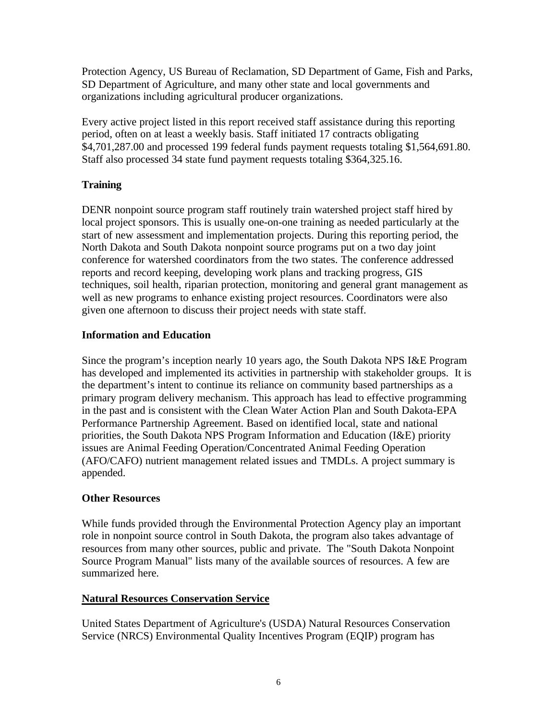Protection Agency, US Bureau of Reclamation, SD Department of Game, Fish and Parks, SD Department of Agriculture, and many other state and local governments and organizations including agricultural producer organizations.

Every active project listed in this report received staff assistance during this reporting period, often on at least a weekly basis. Staff initiated 17 contracts obligating \$4,701,287.00 and processed 199 federal funds payment requests totaling \$1,564,691.80. Staff also processed 34 state fund payment requests totaling \$364,325.16.

# **Training**

DENR nonpoint source program staff routinely train watershed project staff hired by local project sponsors. This is usually one-on-one training as needed particularly at the start of new assessment and implementation projects. During this reporting period, the North Dakota and South Dakota nonpoint source programs put on a two day joint conference for watershed coordinators from the two states. The conference addressed reports and record keeping, developing work plans and tracking progress, GIS techniques, soil health, riparian protection, monitoring and general grant management as well as new programs to enhance existing project resources. Coordinators were also given one afternoon to discuss their project needs with state staff.

# **Information and Education**

Since the program's inception nearly 10 years ago, the South Dakota NPS I&E Program has developed and implemented its activities in partnership with stakeholder groups. It is the department's intent to continue its reliance on community based partnerships as a primary program delivery mechanism. This approach has lead to effective programming in the past and is consistent with the Clean Water Action Plan and South Dakota-EPA Performance Partnership Agreement. Based on identified local, state and national priorities, the South Dakota NPS Program Information and Education (I&E) priority issues are Animal Feeding Operation/Concentrated Animal Feeding Operation (AFO/CAFO) nutrient management related issues and TMDLs. A project summary is appended.

# **Other Resources**

While funds provided through the Environmental Protection Agency play an important role in nonpoint source control in South Dakota, the program also takes advantage of resources from many other sources, public and private. The "South Dakota Nonpoint Source Program Manual" lists many of the available sources of resources. A few are summarized here.

# **Natural Resources Conservation Service**

United States Department of Agriculture's (USDA) Natural Resources Conservation Service (NRCS) Environmental Quality Incentives Program (EQIP) program has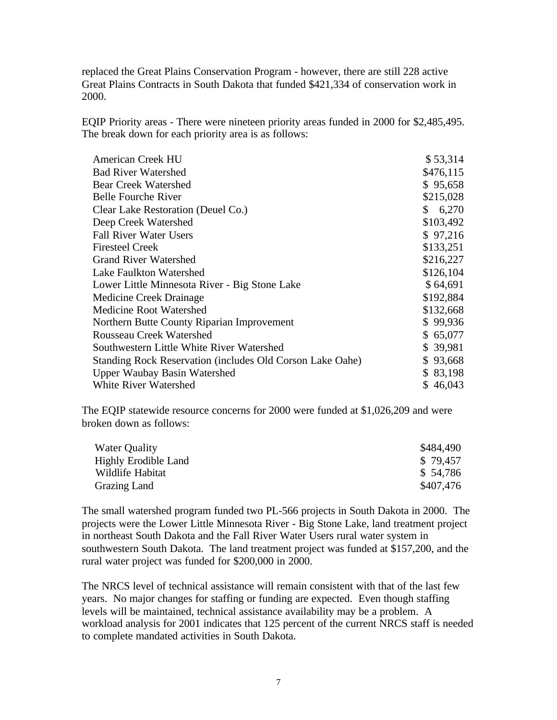replaced the Great Plains Conservation Program - however, there are still 228 active Great Plains Contracts in South Dakota that funded \$421,334 of conservation work in 2000.

EQIP Priority areas - There were nineteen priority areas funded in 2000 for \$2,485,495. The break down for each priority area is as follows:

| <b>American Creek HU</b>                                  | \$53,314    |
|-----------------------------------------------------------|-------------|
| <b>Bad River Watershed</b>                                | \$476,115   |
| <b>Bear Creek Watershed</b>                               | \$95,658    |
| <b>Belle Fourche River</b>                                | \$215,028   |
| Clear Lake Restoration (Deuel Co.)                        | 6,270<br>\$ |
| Deep Creek Watershed                                      | \$103,492   |
| <b>Fall River Water Users</b>                             | \$97,216    |
| <b>Firesteel Creek</b>                                    | \$133,251   |
| <b>Grand River Watershed</b>                              | \$216,227   |
| Lake Faulkton Watershed                                   | \$126,104   |
| Lower Little Minnesota River - Big Stone Lake             | \$64,691    |
| Medicine Creek Drainage                                   | \$192,884   |
| Medicine Root Watershed                                   | \$132,668   |
| Northern Butte County Riparian Improvement                | \$99,936    |
| <b>Rousseau Creek Watershed</b>                           | \$65,077    |
| Southwestern Little White River Watershed                 | \$39,981    |
| Standing Rock Reservation (includes Old Corson Lake Oahe) | \$93,668    |
| <b>Upper Waubay Basin Watershed</b>                       | \$ 83,198   |
| <b>White River Watershed</b>                              | \$46,043    |

The EQIP statewide resource concerns for 2000 were funded at \$1,026,209 and were broken down as follows:

| <b>Water Quality</b>        | \$484,490 |
|-----------------------------|-----------|
| <b>Highly Erodible Land</b> | \$79.457  |
| Wildlife Habitat            | \$54,786  |
| Grazing Land                | \$407,476 |

The small watershed program funded two PL-566 projects in South Dakota in 2000. The projects were the Lower Little Minnesota River - Big Stone Lake, land treatment project in northeast South Dakota and the Fall River Water Users rural water system in southwestern South Dakota. The land treatment project was funded at \$157,200, and the rural water project was funded for \$200,000 in 2000.

The NRCS level of technical assistance will remain consistent with that of the last few years. No major changes for staffing or funding are expected. Even though staffing levels will be maintained, technical assistance availability may be a problem. A workload analysis for 2001 indicates that 125 percent of the current NRCS staff is needed to complete mandated activities in South Dakota.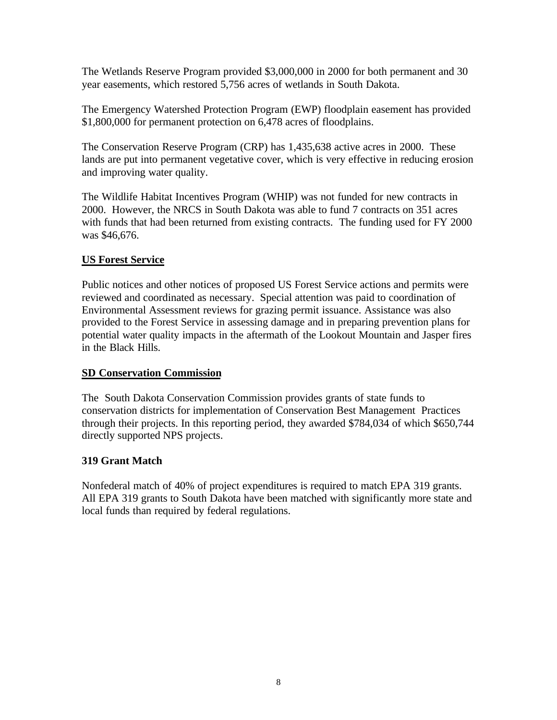The Wetlands Reserve Program provided \$3,000,000 in 2000 for both permanent and 30 year easements, which restored 5,756 acres of wetlands in South Dakota.

The Emergency Watershed Protection Program (EWP) floodplain easement has provided \$1,800,000 for permanent protection on 6,478 acres of floodplains.

The Conservation Reserve Program (CRP) has 1,435,638 active acres in 2000. These lands are put into permanent vegetative cover, which is very effective in reducing erosion and improving water quality.

The Wildlife Habitat Incentives Program (WHIP) was not funded for new contracts in 2000. However, the NRCS in South Dakota was able to fund 7 contracts on 351 acres with funds that had been returned from existing contracts. The funding used for FY 2000 was \$46,676.

# **US Forest Service**

Public notices and other notices of proposed US Forest Service actions and permits were reviewed and coordinated as necessary. Special attention was paid to coordination of Environmental Assessment reviews for grazing permit issuance. Assistance was also provided to the Forest Service in assessing damage and in preparing prevention plans for potential water quality impacts in the aftermath of the Lookout Mountain and Jasper fires in the Black Hills.

# **SD Conservation Commission**

The South Dakota Conservation Commission provides grants of state funds to conservation districts for implementation of Conservation Best Management Practices through their projects. In this reporting period, they awarded \$784,034 of which \$650,744 directly supported NPS projects.

# **319 Grant Match**

Nonfederal match of 40% of project expenditures is required to match EPA 319 grants. All EPA 319 grants to South Dakota have been matched with significantly more state and local funds than required by federal regulations.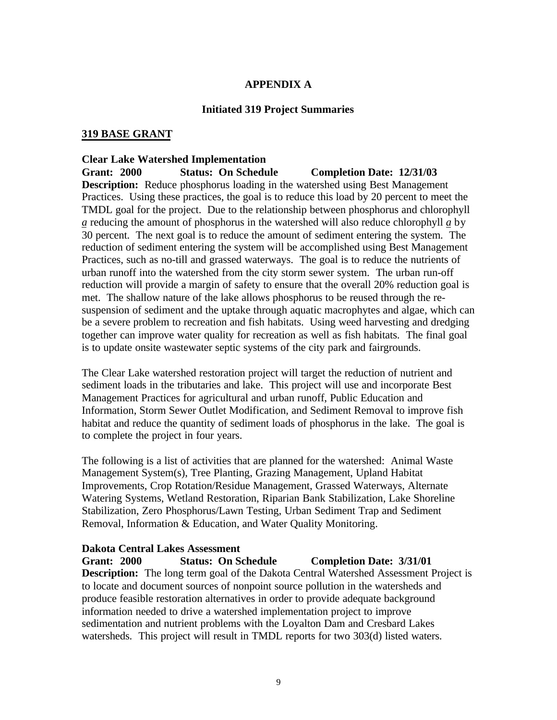## **APPENDIX A**

#### **Initiated 319 Project Summaries**

#### **319 BASE GRANT**

#### **Clear Lake Watershed Implementation**

**Grant: 2000 Status: On Schedule Completion Date: 12/31/03 Description:** Reduce phosphorus loading in the watershed using Best Management Practices. Using these practices, the goal is to reduce this load by 20 percent to meet the TMDL goal for the project. Due to the relationship between phosphorus and chlorophyll *a* reducing the amount of phosphorus in the watershed will also reduce chlorophyll *a* by 30 percent. The next goal is to reduce the amount of sediment entering the system. The reduction of sediment entering the system will be accomplished using Best Management Practices, such as no-till and grassed waterways. The goal is to reduce the nutrients of urban runoff into the watershed from the city storm sewer system. The urban run-off reduction will provide a margin of safety to ensure that the overall 20% reduction goal is met. The shallow nature of the lake allows phosphorus to be reused through the resuspension of sediment and the uptake through aquatic macrophytes and algae, which can be a severe problem to recreation and fish habitats. Using weed harvesting and dredging together can improve water quality for recreation as well as fish habitats. The final goal is to update onsite wastewater septic systems of the city park and fairgrounds.

The Clear Lake watershed restoration project will target the reduction of nutrient and sediment loads in the tributaries and lake. This project will use and incorporate Best Management Practices for agricultural and urban runoff, Public Education and Information, Storm Sewer Outlet Modification, and Sediment Removal to improve fish habitat and reduce the quantity of sediment loads of phosphorus in the lake. The goal is to complete the project in four years.

The following is a list of activities that are planned for the watershed: Animal Waste Management System(s), Tree Planting, Grazing Management, Upland Habitat Improvements, Crop Rotation/Residue Management, Grassed Waterways, Alternate Watering Systems, Wetland Restoration, Riparian Bank Stabilization, Lake Shoreline Stabilization, Zero Phosphorus/Lawn Testing, Urban Sediment Trap and Sediment Removal, Information & Education, and Water Quality Monitoring.

#### **Dakota Central Lakes Assessment**

**Grant: 2000 Status: On Schedule Completion Date: 3/31/01 Description:** The long term goal of the Dakota Central Watershed Assessment Project is to locate and document sources of nonpoint source pollution in the watersheds and produce feasible restoration alternatives in order to provide adequate background information needed to drive a watershed implementation project to improve sedimentation and nutrient problems with the Loyalton Dam and Cresbard Lakes watersheds. This project will result in TMDL reports for two 303(d) listed waters.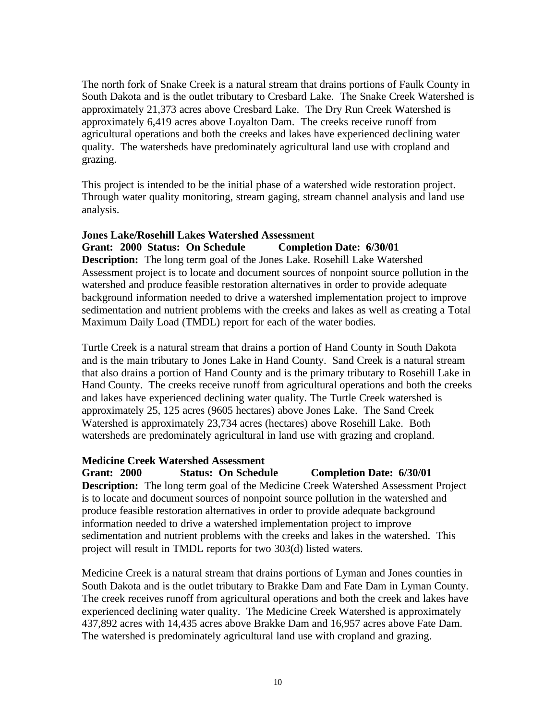The north fork of Snake Creek is a natural stream that drains portions of Faulk County in South Dakota and is the outlet tributary to Cresbard Lake. The Snake Creek Watershed is approximately 21,373 acres above Cresbard Lake. The Dry Run Creek Watershed is approximately 6,419 acres above Loyalton Dam. The creeks receive runoff from agricultural operations and both the creeks and lakes have experienced declining water quality. The watersheds have predominately agricultural land use with cropland and grazing.

This project is intended to be the initial phase of a watershed wide restoration project. Through water quality monitoring, stream gaging, stream channel analysis and land use analysis.

#### **Jones Lake/Rosehill Lakes Watershed Assessment Grant: 2000 Status: On Schedule Completion Date: 6/30/01**

**Description:** The long term goal of the Jones Lake. Rosehill Lake Watershed Assessment project is to locate and document sources of nonpoint source pollution in the watershed and produce feasible restoration alternatives in order to provide adequate background information needed to drive a watershed implementation project to improve sedimentation and nutrient problems with the creeks and lakes as well as creating a Total Maximum Daily Load (TMDL) report for each of the water bodies.

Turtle Creek is a natural stream that drains a portion of Hand County in South Dakota and is the main tributary to Jones Lake in Hand County. Sand Creek is a natural stream that also drains a portion of Hand County and is the primary tributary to Rosehill Lake in Hand County. The creeks receive runoff from agricultural operations and both the creeks and lakes have experienced declining water quality. The Turtle Creek watershed is approximately 25, 125 acres (9605 hectares) above Jones Lake. The Sand Creek Watershed is approximately 23,734 acres (hectares) above Rosehill Lake. Both watersheds are predominately agricultural in land use with grazing and cropland.

## **Medicine Creek Watershed Assessment**

**Grant: 2000 Status: On Schedule Completion Date: 6/30/01 Description:** The long term goal of the Medicine Creek Watershed Assessment Project is to locate and document sources of nonpoint source pollution in the watershed and produce feasible restoration alternatives in order to provide adequate background information needed to drive a watershed implementation project to improve sedimentation and nutrient problems with the creeks and lakes in the watershed. This project will result in TMDL reports for two 303(d) listed waters.

Medicine Creek is a natural stream that drains portions of Lyman and Jones counties in South Dakota and is the outlet tributary to Brakke Dam and Fate Dam in Lyman County. The creek receives runoff from agricultural operations and both the creek and lakes have experienced declining water quality. The Medicine Creek Watershed is approximately 437,892 acres with 14,435 acres above Brakke Dam and 16,957 acres above Fate Dam. The watershed is predominately agricultural land use with cropland and grazing.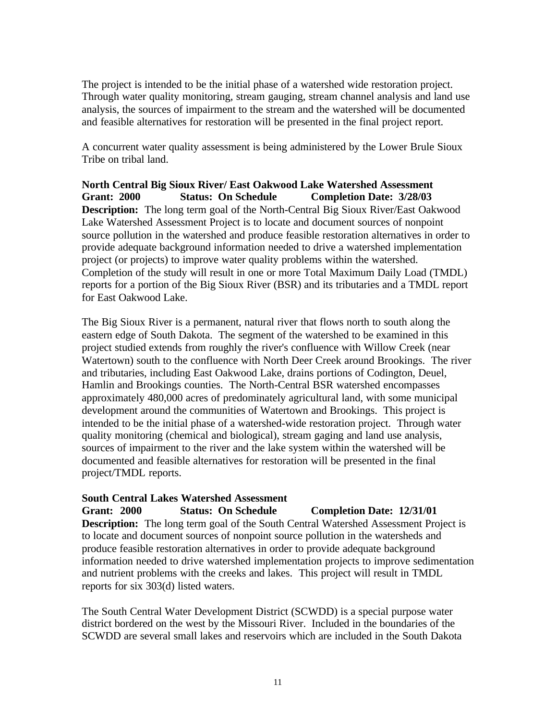The project is intended to be the initial phase of a watershed wide restoration project. Through water quality monitoring, stream gauging, stream channel analysis and land use analysis, the sources of impairment to the stream and the watershed will be documented and feasible alternatives for restoration will be presented in the final project report.

A concurrent water quality assessment is being administered by the Lower Brule Sioux Tribe on tribal land.

**North Central Big Sioux River/ East Oakwood Lake Watershed Assessment Grant: 2000 Status: On Schedule Completion Date: 3/28/03 Description:** The long term goal of the North-Central Big Sioux River/East Oakwood Lake Watershed Assessment Project is to locate and document sources of nonpoint source pollution in the watershed and produce feasible restoration alternatives in order to provide adequate background information needed to drive a watershed implementation project (or projects) to improve water quality problems within the watershed. Completion of the study will result in one or more Total Maximum Daily Load (TMDL) reports for a portion of the Big Sioux River (BSR) and its tributaries and a TMDL report for East Oakwood Lake.

The Big Sioux River is a permanent, natural river that flows north to south along the eastern edge of South Dakota. The segment of the watershed to be examined in this project studied extends from roughly the river's confluence with Willow Creek (near Watertown) south to the confluence with North Deer Creek around Brookings. The river and tributaries, including East Oakwood Lake, drains portions of Codington, Deuel, Hamlin and Brookings counties. The North-Central BSR watershed encompasses approximately 480,000 acres of predominately agricultural land, with some municipal development around the communities of Watertown and Brookings. This project is intended to be the initial phase of a watershed-wide restoration project. Through water quality monitoring (chemical and biological), stream gaging and land use analysis, sources of impairment to the river and the lake system within the watershed will be documented and feasible alternatives for restoration will be presented in the final project/TMDL reports.

# **South Central Lakes Watershed Assessment**

**Grant: 2000 Status: On Schedule Completion Date: 12/31/01**

**Description:** The long term goal of the South Central Watershed Assessment Project is to locate and document sources of nonpoint source pollution in the watersheds and produce feasible restoration alternatives in order to provide adequate background information needed to drive watershed implementation projects to improve sedimentation and nutrient problems with the creeks and lakes. This project will result in TMDL reports for six 303(d) listed waters.

The South Central Water Development District (SCWDD) is a special purpose water district bordered on the west by the Missouri River. Included in the boundaries of the SCWDD are several small lakes and reservoirs which are included in the South Dakota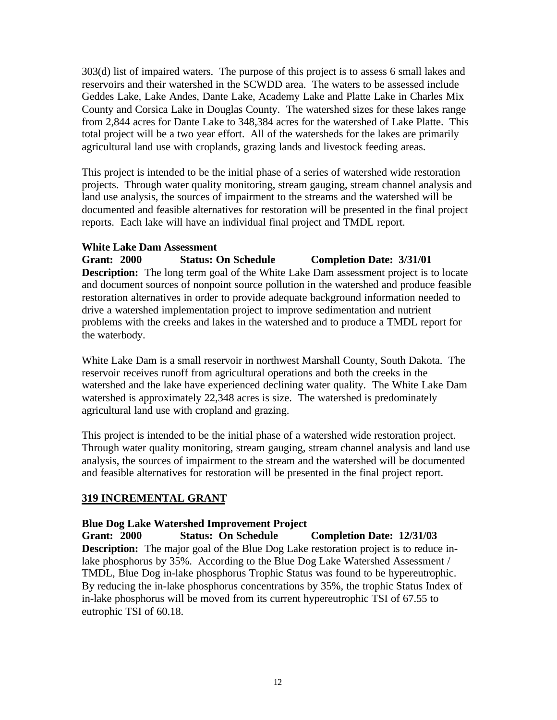303(d) list of impaired waters. The purpose of this project is to assess 6 small lakes and reservoirs and their watershed in the SCWDD area. The waters to be assessed include Geddes Lake, Lake Andes, Dante Lake, Academy Lake and Platte Lake in Charles Mix County and Corsica Lake in Douglas County. The watershed sizes for these lakes range from 2,844 acres for Dante Lake to 348,384 acres for the watershed of Lake Platte. This total project will be a two year effort. All of the watersheds for the lakes are primarily agricultural land use with croplands, grazing lands and livestock feeding areas.

This project is intended to be the initial phase of a series of watershed wide restoration projects. Through water quality monitoring, stream gauging, stream channel analysis and land use analysis, the sources of impairment to the streams and the watershed will be documented and feasible alternatives for restoration will be presented in the final project reports. Each lake will have an individual final project and TMDL report.

## **White Lake Dam Assessment**

**Grant: 2000 Status: On Schedule Completion Date: 3/31/01 Description:** The long term goal of the White Lake Dam assessment project is to locate and document sources of nonpoint source pollution in the watershed and produce feasible restoration alternatives in order to provide adequate background information needed to drive a watershed implementation project to improve sedimentation and nutrient problems with the creeks and lakes in the watershed and to produce a TMDL report for the waterbody.

White Lake Dam is a small reservoir in northwest Marshall County, South Dakota. The reservoir receives runoff from agricultural operations and both the creeks in the watershed and the lake have experienced declining water quality. The White Lake Dam watershed is approximately 22,348 acres is size. The watershed is predominately agricultural land use with cropland and grazing.

This project is intended to be the initial phase of a watershed wide restoration project. Through water quality monitoring, stream gauging, stream channel analysis and land use analysis, the sources of impairment to the stream and the watershed will be documented and feasible alternatives for restoration will be presented in the final project report.

# **319 INCREMENTAL GRANT**

## **Blue Dog Lake Watershed Improvement Project**

**Grant: 2000 Status: On Schedule Completion Date: 12/31/03 Description:** The major goal of the Blue Dog Lake restoration project is to reduce inlake phosphorus by 35%. According to the Blue Dog Lake Watershed Assessment / TMDL, Blue Dog in-lake phosphorus Trophic Status was found to be hypereutrophic. By reducing the in-lake phosphorus concentrations by 35%, the trophic Status Index of in-lake phosphorus will be moved from its current hypereutrophic TSI of 67.55 to eutrophic TSI of 60.18.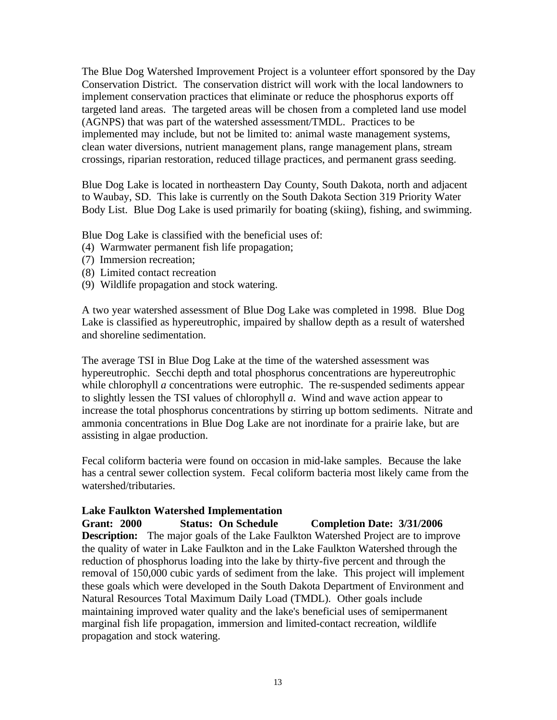The Blue Dog Watershed Improvement Project is a volunteer effort sponsored by the Day Conservation District. The conservation district will work with the local landowners to implement conservation practices that eliminate or reduce the phosphorus exports off targeted land areas. The targeted areas will be chosen from a completed land use model (AGNPS) that was part of the watershed assessment/TMDL. Practices to be implemented may include, but not be limited to: animal waste management systems, clean water diversions, nutrient management plans, range management plans, stream crossings, riparian restoration, reduced tillage practices, and permanent grass seeding.

Blue Dog Lake is located in northeastern Day County, South Dakota, north and adjacent to Waubay, SD. This lake is currently on the South Dakota Section 319 Priority Water Body List. Blue Dog Lake is used primarily for boating (skiing), fishing, and swimming.

Blue Dog Lake is classified with the beneficial uses of:

- (4) Warmwater permanent fish life propagation;
- (7) Immersion recreation;
- (8) Limited contact recreation
- (9) Wildlife propagation and stock watering.

A two year watershed assessment of Blue Dog Lake was completed in 1998. Blue Dog Lake is classified as hypereutrophic, impaired by shallow depth as a result of watershed and shoreline sedimentation.

The average TSI in Blue Dog Lake at the time of the watershed assessment was hypereutrophic. Secchi depth and total phosphorus concentrations are hypereutrophic while chlorophyll *a* concentrations were eutrophic. The re-suspended sediments appear to slightly lessen the TSI values of chlorophyll *a*. Wind and wave action appear to increase the total phosphorus concentrations by stirring up bottom sediments. Nitrate and ammonia concentrations in Blue Dog Lake are not inordinate for a prairie lake, but are assisting in algae production.

Fecal coliform bacteria were found on occasion in mid-lake samples. Because the lake has a central sewer collection system. Fecal coliform bacteria most likely came from the watershed/tributaries.

## **Lake Faulkton Watershed Implementation**

#### **Grant: 2000 Status: On Schedule Completion Date: 3/31/2006**

**Description:** The major goals of the Lake Faulkton Watershed Project are to improve the quality of water in Lake Faulkton and in the Lake Faulkton Watershed through the reduction of phosphorus loading into the lake by thirty-five percent and through the removal of 150,000 cubic yards of sediment from the lake. This project will implement these goals which were developed in the South Dakota Department of Environment and Natural Resources Total Maximum Daily Load (TMDL). Other goals include maintaining improved water quality and the lake's beneficial uses of semipermanent marginal fish life propagation, immersion and limited-contact recreation, wildlife propagation and stock watering.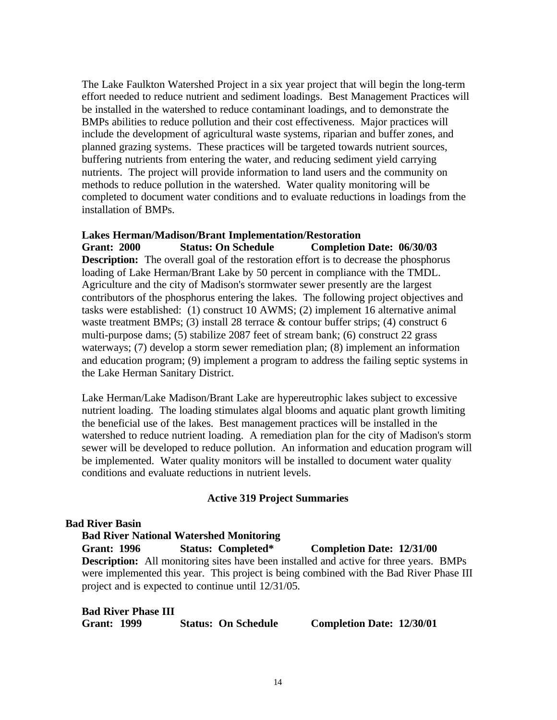The Lake Faulkton Watershed Project in a six year project that will begin the long-term effort needed to reduce nutrient and sediment loadings. Best Management Practices will be installed in the watershed to reduce contaminant loadings, and to demonstrate the BMPs abilities to reduce pollution and their cost effectiveness. Major practices will include the development of agricultural waste systems, riparian and buffer zones, and planned grazing systems. These practices will be targeted towards nutrient sources, buffering nutrients from entering the water, and reducing sediment yield carrying nutrients. The project will provide information to land users and the community on methods to reduce pollution in the watershed. Water quality monitoring will be completed to document water conditions and to evaluate reductions in loadings from the installation of BMPs.

#### **Lakes Herman/Madison/Brant Implementation/Restoration**

**Grant: 2000 Status: On Schedule Completion Date: 06/30/03 Description:** The overall goal of the restoration effort is to decrease the phosphorus loading of Lake Herman/Brant Lake by 50 percent in compliance with the TMDL. Agriculture and the city of Madison's stormwater sewer presently are the largest contributors of the phosphorus entering the lakes. The following project objectives and tasks were established: (1) construct 10 AWMS; (2) implement 16 alternative animal waste treatment BMPs; (3) install 28 terrace & contour buffer strips; (4) construct 6 multi-purpose dams; (5) stabilize 2087 feet of stream bank; (6) construct 22 grass waterways; (7) develop a storm sewer remediation plan; (8) implement an information and education program; (9) implement a program to address the failing septic systems in the Lake Herman Sanitary District.

Lake Herman/Lake Madison/Brant Lake are hypereutrophic lakes subject to excessive nutrient loading. The loading stimulates algal blooms and aquatic plant growth limiting the beneficial use of the lakes. Best management practices will be installed in the watershed to reduce nutrient loading. A remediation plan for the city of Madison's storm sewer will be developed to reduce pollution. An information and education program will be implemented. Water quality monitors will be installed to document water quality conditions and evaluate reductions in nutrient levels.

#### **Active 319 Project Summaries**

#### **Bad River Basin**

**Bad River National Watershed Monitoring Grant: 1996 Status: Completed\* Completion Date: 12/31/00 Description:** All monitoring sites have been installed and active for three years. BMPs were implemented this year. This project is being combined with the Bad River Phase III project and is expected to continue until 12/31/05.

**Bad River Phase III Grant: 1999 Status: On Schedule Completion Date: 12/30/01**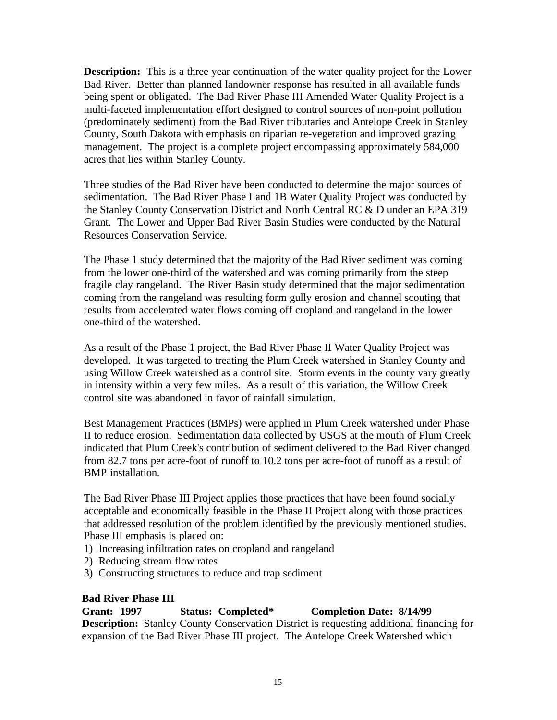**Description:** This is a three year continuation of the water quality project for the Lower Bad River. Better than planned landowner response has resulted in all available funds being spent or obligated. The Bad River Phase III Amended Water Quality Project is a multi-faceted implementation effort designed to control sources of non-point pollution (predominately sediment) from the Bad River tributaries and Antelope Creek in Stanley County, South Dakota with emphasis on riparian re-vegetation and improved grazing management. The project is a complete project encompassing approximately 584,000 acres that lies within Stanley County.

Three studies of the Bad River have been conducted to determine the major sources of sedimentation. The Bad River Phase I and 1B Water Quality Project was conducted by the Stanley County Conservation District and North Central RC & D under an EPA 319 Grant. The Lower and Upper Bad River Basin Studies were conducted by the Natural Resources Conservation Service.

The Phase 1 study determined that the majority of the Bad River sediment was coming from the lower one-third of the watershed and was coming primarily from the steep fragile clay rangeland. The River Basin study determined that the major sedimentation coming from the rangeland was resulting form gully erosion and channel scouting that results from accelerated water flows coming off cropland and rangeland in the lower one-third of the watershed.

As a result of the Phase 1 project, the Bad River Phase II Water Quality Project was developed. It was targeted to treating the Plum Creek watershed in Stanley County and using Willow Creek watershed as a control site. Storm events in the county vary greatly in intensity within a very few miles. As a result of this variation, the Willow Creek control site was abandoned in favor of rainfall simulation.

Best Management Practices (BMPs) were applied in Plum Creek watershed under Phase II to reduce erosion. Sedimentation data collected by USGS at the mouth of Plum Creek indicated that Plum Creek's contribution of sediment delivered to the Bad River changed from 82.7 tons per acre-foot of runoff to 10.2 tons per acre-foot of runoff as a result of BMP installation.

The Bad River Phase III Project applies those practices that have been found socially acceptable and economically feasible in the Phase II Project along with those practices that addressed resolution of the problem identified by the previously mentioned studies. Phase III emphasis is placed on:

- 1) Increasing infiltration rates on cropland and rangeland
- 2) Reducing stream flow rates
- 3) Constructing structures to reduce and trap sediment

## **Bad River Phase III**

**Grant: 1997 Status: Completed\* Completion Date: 8/14/99 Description:** Stanley County Conservation District is requesting additional financing for expansion of the Bad River Phase III project. The Antelope Creek Watershed which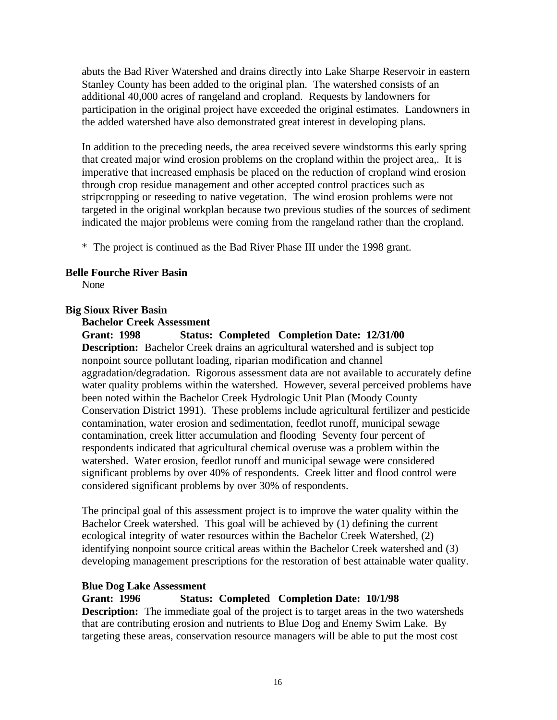abuts the Bad River Watershed and drains directly into Lake Sharpe Reservoir in eastern Stanley County has been added to the original plan. The watershed consists of an additional 40,000 acres of rangeland and cropland. Requests by landowners for participation in the original project have exceeded the original estimates. Landowners in the added watershed have also demonstrated great interest in developing plans.

In addition to the preceding needs, the area received severe windstorms this early spring that created major wind erosion problems on the cropland within the project area,. It is imperative that increased emphasis be placed on the reduction of cropland wind erosion through crop residue management and other accepted control practices such as stripcropping or reseeding to native vegetation. The wind erosion problems were not targeted in the original workplan because two previous studies of the sources of sediment indicated the major problems were coming from the rangeland rather than the cropland.

\* The project is continued as the Bad River Phase III under the 1998 grant.

#### **Belle Fourche River Basin**

None

#### **Big Sioux River Basin**

#### **Bachelor Creek Assessment**

**Grant: 1998 Status: Completed Completion Date: 12/31/00 Description:** Bachelor Creek drains an agricultural watershed and is subject top nonpoint source pollutant loading, riparian modification and channel aggradation/degradation. Rigorous assessment data are not available to accurately define water quality problems within the watershed. However, several perceived problems have been noted within the Bachelor Creek Hydrologic Unit Plan (Moody County Conservation District 1991). These problems include agricultural fertilizer and pesticide contamination, water erosion and sedimentation, feedlot runoff, municipal sewage contamination, creek litter accumulation and flooding Seventy four percent of respondents indicated that agricultural chemical overuse was a problem within the watershed. Water erosion, feedlot runoff and municipal sewage were considered significant problems by over 40% of respondents. Creek litter and flood control were considered significant problems by over 30% of respondents.

The principal goal of this assessment project is to improve the water quality within the Bachelor Creek watershed. This goal will be achieved by (1) defining the current ecological integrity of water resources within the Bachelor Creek Watershed, (2) identifying nonpoint source critical areas within the Bachelor Creek watershed and (3) developing management prescriptions for the restoration of best attainable water quality.

#### **Blue Dog Lake Assessment**

#### **Grant: 1996 Status: Completed Completion Date: 10/1/98**

**Description:** The immediate goal of the project is to target areas in the two watersheds that are contributing erosion and nutrients to Blue Dog and Enemy Swim Lake. By targeting these areas, conservation resource managers will be able to put the most cost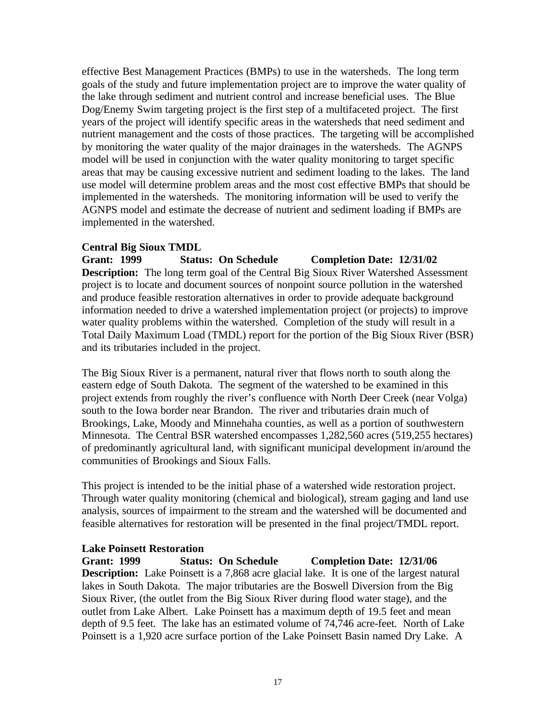effective Best Management Practices (BMPs) to use in the watersheds. The long term goals of the study and future implementation project are to improve the water quality of the lake through sediment and nutrient control and increase beneficial uses. The Blue Dog/Enemy Swim targeting project is the first step of a multifaceted project. The first years of the project will identify specific areas in the watersheds that need sediment and nutrient management and the costs of those practices. The targeting will be accomplished by monitoring the water quality of the major drainages in the watersheds. The AGNPS model will be used in conjunction with the water quality monitoring to target specific areas that may be causing excessive nutrient and sediment loading to the lakes. The land use model will determine problem areas and the most cost effective BMPs that should be implemented in the watersheds. The monitoring information will be used to verify the AGNPS model and estimate the decrease of nutrient and sediment loading if BMPs are implemented in the watershed.

## **Central Big Sioux TMDL**

**Grant: 1999 Status: On Schedule Completion Date: 12/31/02 Description:** The long term goal of the Central Big Sioux River Watershed Assessment project is to locate and document sources of nonpoint source pollution in the watershed and produce feasible restoration alternatives in order to provide adequate background information needed to drive a watershed implementation project (or projects) to improve water quality problems within the watershed. Completion of the study will result in a Total Daily Maximum Load (TMDL) report for the portion of the Big Sioux River (BSR) and its tributaries included in the project.

The Big Sioux River is a permanent, natural river that flows north to south along the eastern edge of South Dakota. The segment of the watershed to be examined in this project extends from roughly the river's confluence with North Deer Creek (near Volga) south to the Iowa border near Brandon. The river and tributaries drain much of Brookings, Lake, Moody and Minnehaha counties, as well as a portion of southwestern Minnesota. The Central BSR watershed encompasses 1,282,560 acres (519,255 hectares) of predominantly agricultural land, with significant municipal development in/around the communities of Brookings and Sioux Falls.

This project is intended to be the initial phase of a watershed wide restoration project. Through water quality monitoring (chemical and biological), stream gaging and land use analysis, sources of impairment to the stream and the watershed will be documented and feasible alternatives for restoration will be presented in the final project/TMDL report.

## **Lake Poinsett Restoration**

**Grant: 1999 Status: On Schedule Completion Date: 12/31/06 Description:** Lake Poinsett is a 7,868 acre glacial lake. It is one of the largest natural lakes in South Dakota. The major tributaries are the Boswell Diversion from the Big Sioux River, (the outlet from the Big Sioux River during flood water stage), and the outlet from Lake Albert. Lake Poinsett has a maximum depth of 19.5 feet and mean depth of 9.5 feet. The lake has an estimated volume of 74,746 acre-feet. North of Lake Poinsett is a 1,920 acre surface portion of the Lake Poinsett Basin named Dry Lake. A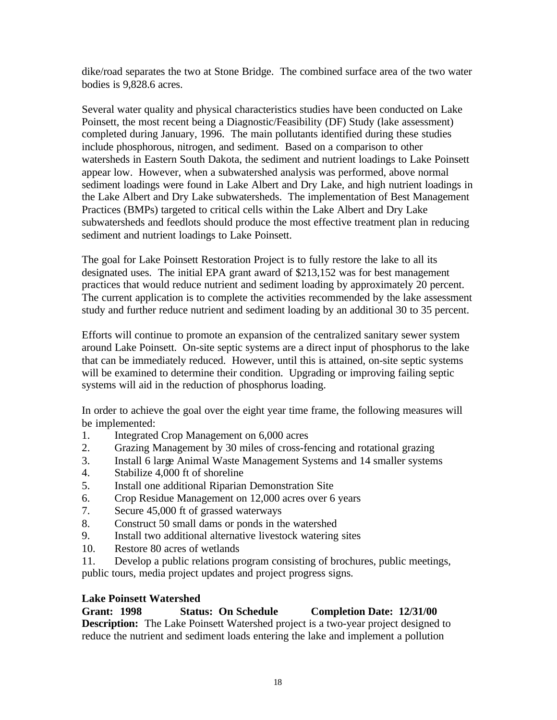dike/road separates the two at Stone Bridge. The combined surface area of the two water bodies is 9,828.6 acres.

Several water quality and physical characteristics studies have been conducted on Lake Poinsett, the most recent being a Diagnostic/Feasibility (DF) Study (lake assessment) completed during January, 1996. The main pollutants identified during these studies include phosphorous, nitrogen, and sediment. Based on a comparison to other watersheds in Eastern South Dakota, the sediment and nutrient loadings to Lake Poinsett appear low. However, when a subwatershed analysis was performed, above normal sediment loadings were found in Lake Albert and Dry Lake, and high nutrient loadings in the Lake Albert and Dry Lake subwatersheds. The implementation of Best Management Practices (BMPs) targeted to critical cells within the Lake Albert and Dry Lake subwatersheds and feedlots should produce the most effective treatment plan in reducing sediment and nutrient loadings to Lake Poinsett.

The goal for Lake Poinsett Restoration Project is to fully restore the lake to all its designated uses. The initial EPA grant award of \$213,152 was for best management practices that would reduce nutrient and sediment loading by approximately 20 percent. The current application is to complete the activities recommended by the lake assessment study and further reduce nutrient and sediment loading by an additional 30 to 35 percent.

Efforts will continue to promote an expansion of the centralized sanitary sewer system around Lake Poinsett. On-site septic systems are a direct input of phosphorus to the lake that can be immediately reduced. However, until this is attained, on-site septic systems will be examined to determine their condition. Upgrading or improving failing septic systems will aid in the reduction of phosphorus loading.

In order to achieve the goal over the eight year time frame, the following measures will be implemented:

- 1. Integrated Crop Management on 6,000 acres
- 2. Grazing Management by 30 miles of cross-fencing and rotational grazing
- 3. Install 6 large Animal Waste Management Systems and 14 smaller systems
- 4. Stabilize 4,000 ft of shoreline
- 5. Install one additional Riparian Demonstration Site
- 6. Crop Residue Management on 12,000 acres over 6 years
- 7. Secure 45,000 ft of grassed waterways
- 8. Construct 50 small dams or ponds in the watershed
- 9. Install two additional alternative livestock watering sites
- 10. Restore 80 acres of wetlands
- 11. Develop a public relations program consisting of brochures, public meetings, public tours, media project updates and project progress signs.

## **Lake Poinsett Watershed**

**Grant: 1998 Status: On Schedule Completion Date: 12/31/00 Description:** The Lake Poinsett Watershed project is a two-year project designed to reduce the nutrient and sediment loads entering the lake and implement a pollution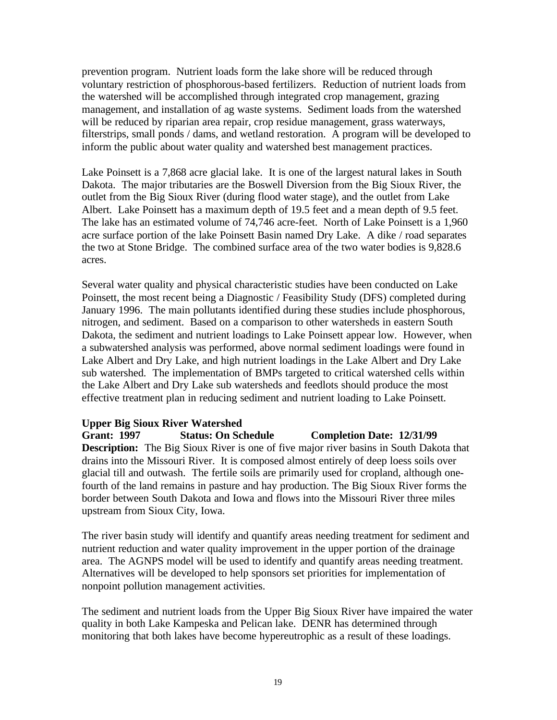prevention program. Nutrient loads form the lake shore will be reduced through voluntary restriction of phosphorous-based fertilizers. Reduction of nutrient loads from the watershed will be accomplished through integrated crop management, grazing management, and installation of ag waste systems. Sediment loads from the watershed will be reduced by riparian area repair, crop residue management, grass waterways, filterstrips, small ponds / dams, and wetland restoration. A program will be developed to inform the public about water quality and watershed best management practices.

Lake Poinsett is a 7,868 acre glacial lake. It is one of the largest natural lakes in South Dakota. The major tributaries are the Boswell Diversion from the Big Sioux River, the outlet from the Big Sioux River (during flood water stage), and the outlet from Lake Albert. Lake Poinsett has a maximum depth of 19.5 feet and a mean depth of 9.5 feet. The lake has an estimated volume of 74,746 acre-feet. North of Lake Poinsett is a 1,960 acre surface portion of the lake Poinsett Basin named Dry Lake. A dike / road separates the two at Stone Bridge. The combined surface area of the two water bodies is 9,828.6 acres.

Several water quality and physical characteristic studies have been conducted on Lake Poinsett, the most recent being a Diagnostic / Feasibility Study (DFS) completed during January 1996. The main pollutants identified during these studies include phosphorous, nitrogen, and sediment. Based on a comparison to other watersheds in eastern South Dakota, the sediment and nutrient loadings to Lake Poinsett appear low. However, when a subwatershed analysis was performed, above normal sediment loadings were found in Lake Albert and Dry Lake, and high nutrient loadings in the Lake Albert and Dry Lake sub watershed. The implementation of BMPs targeted to critical watershed cells within the Lake Albert and Dry Lake sub watersheds and feedlots should produce the most effective treatment plan in reducing sediment and nutrient loading to Lake Poinsett.

## **Upper Big Sioux River Watershed**

**Grant: 1997 Status: On Schedule Completion Date: 12/31/99 Description:** The Big Sioux River is one of five major river basins in South Dakota that drains into the Missouri River. It is composed almost entirely of deep loess soils over glacial till and outwash. The fertile soils are primarily used for cropland, although onefourth of the land remains in pasture and hay production. The Big Sioux River forms the border between South Dakota and Iowa and flows into the Missouri River three miles upstream from Sioux City, Iowa.

The river basin study will identify and quantify areas needing treatment for sediment and nutrient reduction and water quality improvement in the upper portion of the drainage area. The AGNPS model will be used to identify and quantify areas needing treatment. Alternatives will be developed to help sponsors set priorities for implementation of nonpoint pollution management activities.

The sediment and nutrient loads from the Upper Big Sioux River have impaired the water quality in both Lake Kampeska and Pelican lake. DENR has determined through monitoring that both lakes have become hypereutrophic as a result of these loadings.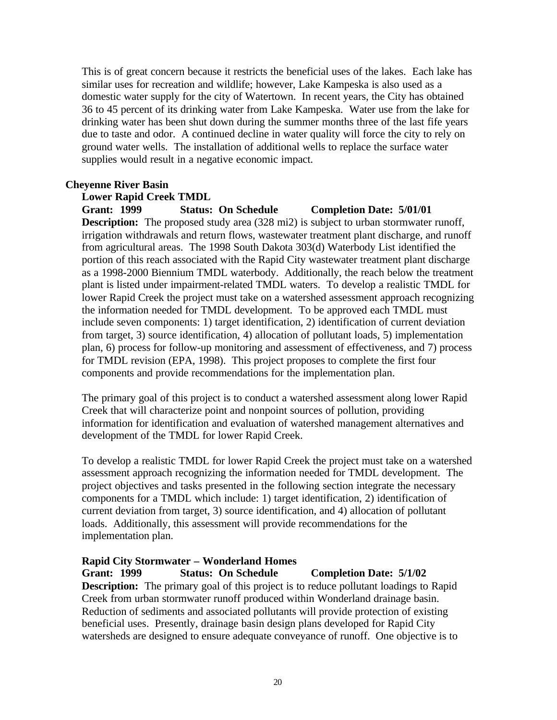This is of great concern because it restricts the beneficial uses of the lakes. Each lake has similar uses for recreation and wildlife; however, Lake Kampeska is also used as a domestic water supply for the city of Watertown. In recent years, the City has obtained 36 to 45 percent of its drinking water from Lake Kampeska. Water use from the lake for drinking water has been shut down during the summer months three of the last fife years due to taste and odor. A continued decline in water quality will force the city to rely on ground water wells. The installation of additional wells to replace the surface water supplies would result in a negative economic impact.

#### **Cheyenne River Basin**

#### **Lower Rapid Creek TMDL**

**Grant: 1999 Status: On Schedule Completion Date: 5/01/01 Description:** The proposed study area (328 mi2) is subject to urban stormwater runoff, irrigation withdrawals and return flows, wastewater treatment plant discharge, and runoff from agricultural areas. The 1998 South Dakota 303(d) Waterbody List identified the portion of this reach associated with the Rapid City wastewater treatment plant discharge as a 1998-2000 Biennium TMDL waterbody. Additionally, the reach below the treatment plant is listed under impairment-related TMDL waters. To develop a realistic TMDL for lower Rapid Creek the project must take on a watershed assessment approach recognizing the information needed for TMDL development. To be approved each TMDL must include seven components: 1) target identification, 2) identification of current deviation from target, 3) source identification, 4) allocation of pollutant loads, 5) implementation plan, 6) process for follow-up monitoring and assessment of effectiveness, and 7) process for TMDL revision (EPA, 1998). This project proposes to complete the first four components and provide recommendations for the implementation plan.

The primary goal of this project is to conduct a watershed assessment along lower Rapid Creek that will characterize point and nonpoint sources of pollution, providing information for identification and evaluation of watershed management alternatives and development of the TMDL for lower Rapid Creek.

To develop a realistic TMDL for lower Rapid Creek the project must take on a watershed assessment approach recognizing the information needed for TMDL development. The project objectives and tasks presented in the following section integrate the necessary components for a TMDL which include: 1) target identification, 2) identification of current deviation from target, 3) source identification, and 4) allocation of pollutant loads. Additionally, this assessment will provide recommendations for the implementation plan.

## **Rapid City Stormwater – Wonderland Homes**

**Grant: 1999 Status: On Schedule Completion Date: 5/1/02 Description:** The primary goal of this project is to reduce pollutant loadings to Rapid Creek from urban stormwater runoff produced within Wonderland drainage basin. Reduction of sediments and associated pollutants will provide protection of existing beneficial uses. Presently, drainage basin design plans developed for Rapid City watersheds are designed to ensure adequate conveyance of runoff. One objective is to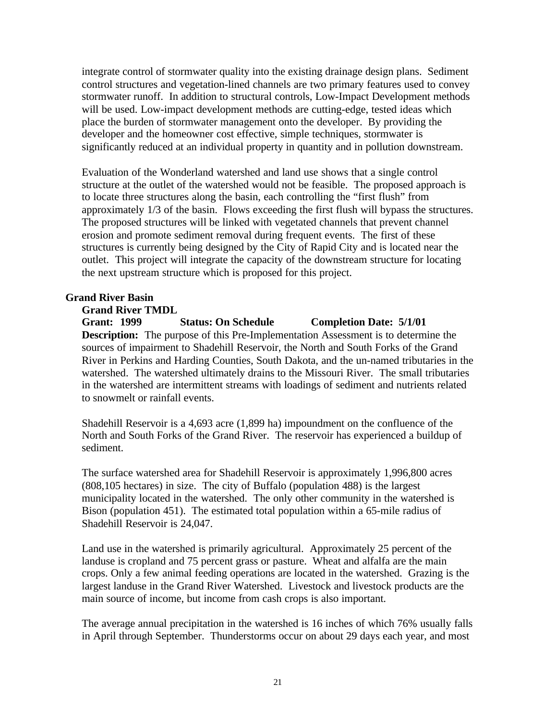integrate control of stormwater quality into the existing drainage design plans. Sediment control structures and vegetation-lined channels are two primary features used to convey stormwater runoff. In addition to structural controls, Low-Impact Development methods will be used. Low-impact development methods are cutting-edge, tested ideas which place the burden of stormwater management onto the developer. By providing the developer and the homeowner cost effective, simple techniques, stormwater is significantly reduced at an individual property in quantity and in pollution downstream.

Evaluation of the Wonderland watershed and land use shows that a single control structure at the outlet of the watershed would not be feasible. The proposed approach is to locate three structures along the basin, each controlling the "first flush" from approximately 1/3 of the basin. Flows exceeding the first flush will bypass the structures. The proposed structures will be linked with vegetated channels that prevent channel erosion and promote sediment removal during frequent events. The first of these structures is currently being designed by the City of Rapid City and is located near the outlet. This project will integrate the capacity of the downstream structure for locating the next upstream structure which is proposed for this project.

## **Grand River Basin**

#### **Grand River TMDL**

**Grant: 1999 Status: On Schedule Completion Date: 5/1/01 Description:** The purpose of this Pre-Implementation Assessment is to determine the sources of impairment to Shadehill Reservoir, the North and South Forks of the Grand River in Perkins and Harding Counties, South Dakota, and the un-named tributaries in the watershed. The watershed ultimately drains to the Missouri River. The small tributaries in the watershed are intermittent streams with loadings of sediment and nutrients related to snowmelt or rainfall events.

Shadehill Reservoir is a 4,693 acre (1,899 ha) impoundment on the confluence of the North and South Forks of the Grand River. The reservoir has experienced a buildup of sediment.

The surface watershed area for Shadehill Reservoir is approximately 1,996,800 acres (808,105 hectares) in size. The city of Buffalo (population 488) is the largest municipality located in the watershed. The only other community in the watershed is Bison (population 451). The estimated total population within a 65-mile radius of Shadehill Reservoir is 24,047.

Land use in the watershed is primarily agricultural. Approximately 25 percent of the landuse is cropland and 75 percent grass or pasture. Wheat and alfalfa are the main crops. Only a few animal feeding operations are located in the watershed. Grazing is the largest landuse in the Grand River Watershed. Livestock and livestock products are the main source of income, but income from cash crops is also important.

The average annual precipitation in the watershed is 16 inches of which 76% usually falls in April through September. Thunderstorms occur on about 29 days each year, and most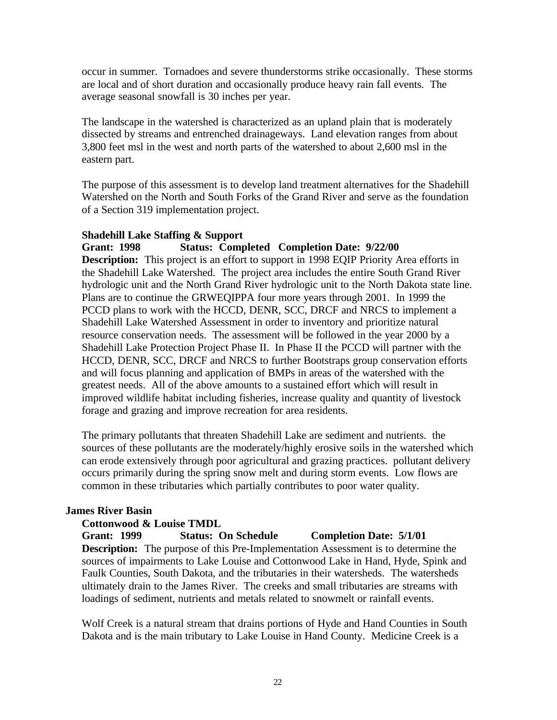occur in summer. Tornadoes and severe thunderstorms strike occasionally. These storms are local and of short duration and occasionally produce heavy rain fall events. The average seasonal snowfall is 30 inches per year.

The landscape in the watershed is characterized as an upland plain that is moderately dissected by streams and entrenched drainageways. Land elevation ranges from about 3,800 feet msl in the west and north parts of the watershed to about 2,600 msl in the eastern part.

The purpose of this assessment is to develop land treatment alternatives for the Shadehill Watershed on the North and South Forks of the Grand River and serve as the foundation of a Section 319 implementation project.

#### **Shadehill Lake Staffing & Support**

**Grant: 1998 Status: Completed Completion Date: 9/22/00 Description:** This project is an effort to support in 1998 EQIP Priority Area efforts in the Shadehill Lake Watershed. The project area includes the entire South Grand River hydrologic unit and the North Grand River hydrologic unit to the North Dakota state line. Plans are to continue the GRWEQIPPA four more years through 2001. In 1999 the PCCD plans to work with the HCCD, DENR, SCC, DRCF and NRCS to implement a Shadehill Lake Watershed Assessment in order to inventory and prioritize natural resource conservation needs. The assessment will be followed in the year 2000 by a Shadehill Lake Protection Project Phase II. In Phase II the PCCD will partner with the HCCD, DENR, SCC, DRCF and NRCS to further Bootstraps group conservation efforts and will focus planning and application of BMPs in areas of the watershed with the greatest needs. All of the above amounts to a sustained effort which will result in improved wildlife habitat including fisheries, increase quality and quantity of livestock forage and grazing and improve recreation for area residents.

The primary pollutants that threaten Shadehill Lake are sediment and nutrients. the sources of these pollutants are the moderately/highly erosive soils in the watershed which can erode extensively through poor agricultural and grazing practices. pollutant delivery occurs primarily during the spring snow melt and during storm events. Low flows are common in these tributaries which partially contributes to poor water quality.

## **James River Basin**

## **Cottonwood & Louise TMDL**

**Grant: 1999 Status: On Schedule Completion Date: 5/1/01**

**Description:** The purpose of this Pre-Implementation Assessment is to determine the sources of impairments to Lake Louise and Cottonwood Lake in Hand, Hyde, Spink and Faulk Counties, South Dakota, and the tributaries in their watersheds. The watersheds ultimately drain to the James River. The creeks and small tributaries are streams with loadings of sediment, nutrients and metals related to snowmelt or rainfall events.

Wolf Creek is a natural stream that drains portions of Hyde and Hand Counties in South Dakota and is the main tributary to Lake Louise in Hand County. Medicine Creek is a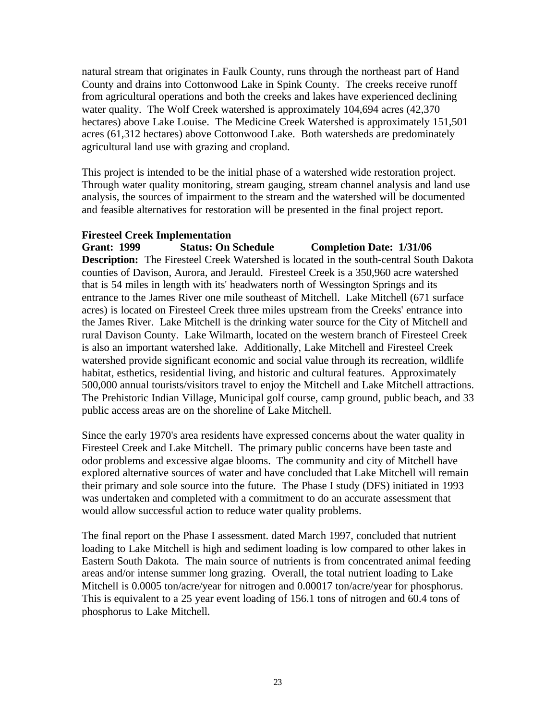natural stream that originates in Faulk County, runs through the northeast part of Hand County and drains into Cottonwood Lake in Spink County. The creeks receive runoff from agricultural operations and both the creeks and lakes have experienced declining water quality. The Wolf Creek watershed is approximately 104,694 acres (42,370) hectares) above Lake Louise. The Medicine Creek Watershed is approximately 151,501 acres (61,312 hectares) above Cottonwood Lake. Both watersheds are predominately agricultural land use with grazing and cropland.

This project is intended to be the initial phase of a watershed wide restoration project. Through water quality monitoring, stream gauging, stream channel analysis and land use analysis, the sources of impairment to the stream and the watershed will be documented and feasible alternatives for restoration will be presented in the final project report.

#### **Firesteel Creek Implementation**

**Grant: 1999 Status: On Schedule Completion Date: 1/31/06 Description:** The Firesteel Creek Watershed is located in the south-central South Dakota counties of Davison, Aurora, and Jerauld. Firesteel Creek is a 350,960 acre watershed that is 54 miles in length with its' headwaters north of Wessington Springs and its entrance to the James River one mile southeast of Mitchell. Lake Mitchell (671 surface acres) is located on Firesteel Creek three miles upstream from the Creeks' entrance into the James River. Lake Mitchell is the drinking water source for the City of Mitchell and rural Davison County. Lake Wilmarth, located on the western branch of Firesteel Creek is also an important watershed lake. Additionally, Lake Mitchell and Firesteel Creek watershed provide significant economic and social value through its recreation, wildlife habitat, esthetics, residential living, and historic and cultural features. Approximately 500,000 annual tourists/visitors travel to enjoy the Mitchell and Lake Mitchell attractions. The Prehistoric Indian Village, Municipal golf course, camp ground, public beach, and 33 public access areas are on the shoreline of Lake Mitchell.

Since the early 1970's area residents have expressed concerns about the water quality in Firesteel Creek and Lake Mitchell. The primary public concerns have been taste and odor problems and excessive algae blooms. The community and city of Mitchell have explored alternative sources of water and have concluded that Lake Mitchell will remain their primary and sole source into the future. The Phase I study (DFS) initiated in 1993 was undertaken and completed with a commitment to do an accurate assessment that would allow successful action to reduce water quality problems.

The final report on the Phase I assessment. dated March 1997, concluded that nutrient loading to Lake Mitchell is high and sediment loading is low compared to other lakes in Eastern South Dakota. The main source of nutrients is from concentrated animal feeding areas and/or intense summer long grazing. Overall, the total nutrient loading to Lake Mitchell is 0.0005 ton/acre/year for nitrogen and 0.00017 ton/acre/year for phosphorus. This is equivalent to a 25 year event loading of 156.1 tons of nitrogen and 60.4 tons of phosphorus to Lake Mitchell.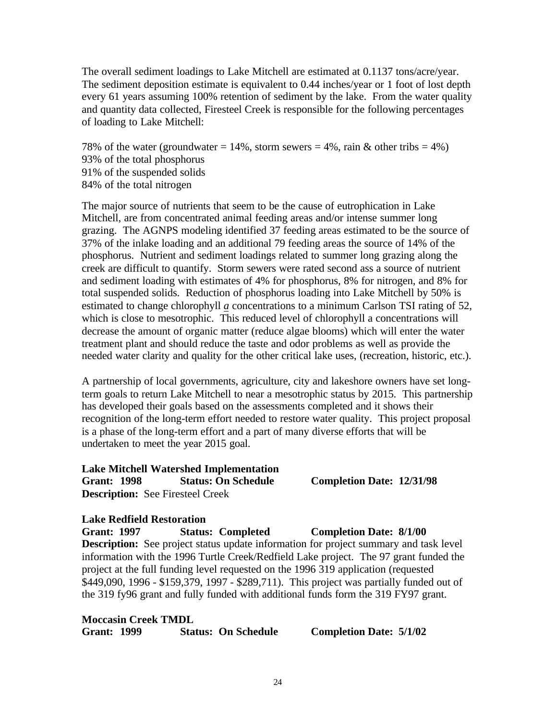The overall sediment loadings to Lake Mitchell are estimated at 0.1137 tons/acre/year. The sediment deposition estimate is equivalent to 0.44 inches/year or 1 foot of lost depth every 61 years assuming 100% retention of sediment by the lake. From the water quality and quantity data collected, Firesteel Creek is responsible for the following percentages of loading to Lake Mitchell:

78% of the water (groundwater = 14%, storm sewers = 4%, rain  $\&$  other tribs = 4%) 93% of the total phosphorus 91% of the suspended solids 84% of the total nitrogen

The major source of nutrients that seem to be the cause of eutrophication in Lake Mitchell, are from concentrated animal feeding areas and/or intense summer long grazing. The AGNPS modeling identified 37 feeding areas estimated to be the source of 37% of the inlake loading and an additional 79 feeding areas the source of 14% of the phosphorus. Nutrient and sediment loadings related to summer long grazing along the creek are difficult to quantify. Storm sewers were rated second ass a source of nutrient and sediment loading with estimates of 4% for phosphorus, 8% for nitrogen, and 8% for total suspended solids. Reduction of phosphorus loading into Lake Mitchell by 50% is estimated to change chlorophyll *a* concentrations to a minimum Carlson TSI rating of 52, which is close to mesotrophic. This reduced level of chlorophyll a concentrations will decrease the amount of organic matter (reduce algae blooms) which will enter the water treatment plant and should reduce the taste and odor problems as well as provide the needed water clarity and quality for the other critical lake uses, (recreation, historic, etc.).

A partnership of local governments, agriculture, city and lakeshore owners have set longterm goals to return Lake Mitchell to near a mesotrophic status by 2015. This partnership has developed their goals based on the assessments completed and it shows their recognition of the long-term effort needed to restore water quality. This project proposal is a phase of the long-term effort and a part of many diverse efforts that will be undertaken to meet the year 2015 goal.

## **Lake Mitchell Watershed Implementation Grant: 1998 Status: On Schedule Completion Date: 12/31/98 Description:** See Firesteel Creek

## **Lake Redfield Restoration**

**Grant: 1997 Status: Completed Completion Date: 8/1/00 Description:** See project status update information for project summary and task level information with the 1996 Turtle Creek/Redfield Lake project. The 97 grant funded the project at the full funding level requested on the 1996 319 application (requested \$449,090, 1996 - \$159,379, 1997 - \$289,711). This project was partially funded out of the 319 fy96 grant and fully funded with additional funds form the 319 FY97 grant.

## **Moccasin Creek TMDL**

**Grant: 1999 Status: On Schedule Completion Date: 5/1/02**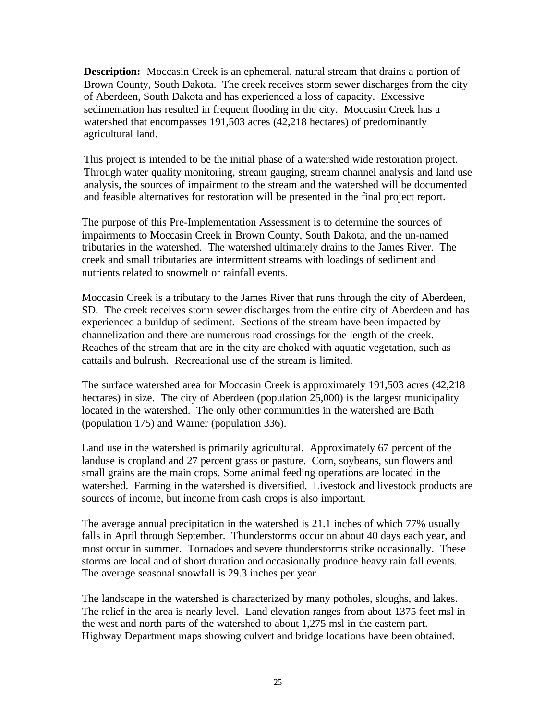**Description:** Moccasin Creek is an ephemeral, natural stream that drains a portion of Brown County, South Dakota. The creek receives storm sewer discharges from the city of Aberdeen, South Dakota and has experienced a loss of capacity. Excessive sedimentation has resulted in frequent flooding in the city. Moccasin Creek has a watershed that encompasses 191,503 acres (42,218 hectares) of predominantly agricultural land.

This project is intended to be the initial phase of a watershed wide restoration project. Through water quality monitoring, stream gauging, stream channel analysis and land use analysis, the sources of impairment to the stream and the watershed will be documented and feasible alternatives for restoration will be presented in the final project report.

The purpose of this Pre-Implementation Assessment is to determine the sources of impairments to Moccasin Creek in Brown County, South Dakota, and the un-named tributaries in the watershed. The watershed ultimately drains to the James River. The creek and small tributaries are intermittent streams with loadings of sediment and nutrients related to snowmelt or rainfall events.

Moccasin Creek is a tributary to the James River that runs through the city of Aberdeen, SD. The creek receives storm sewer discharges from the entire city of Aberdeen and has experienced a buildup of sediment. Sections of the stream have been impacted by channelization and there are numerous road crossings for the length of the creek. Reaches of the stream that are in the city are choked with aquatic vegetation, such as cattails and bulrush. Recreational use of the stream is limited.

The surface watershed area for Moccasin Creek is approximately 191,503 acres (42,218 hectares) in size. The city of Aberdeen (population 25,000) is the largest municipality located in the watershed. The only other communities in the watershed are Bath (population 175) and Warner (population 336).

Land use in the watershed is primarily agricultural. Approximately 67 percent of the landuse is cropland and 27 percent grass or pasture. Corn, soybeans, sun flowers and small grains are the main crops. Some animal feeding operations are located in the watershed. Farming in the watershed is diversified. Livestock and livestock products are sources of income, but income from cash crops is also important.

The average annual precipitation in the watershed is 21.1 inches of which 77% usually falls in April through September. Thunderstorms occur on about 40 days each year, and most occur in summer. Tornadoes and severe thunderstorms strike occasionally. These storms are local and of short duration and occasionally produce heavy rain fall events. The average seasonal snowfall is 29.3 inches per year.

The landscape in the watershed is characterized by many potholes, sloughs, and lakes. The relief in the area is nearly level. Land elevation ranges from about 1375 feet msl in the west and north parts of the watershed to about 1,275 msl in the eastern part. Highway Department maps showing culvert and bridge locations have been obtained.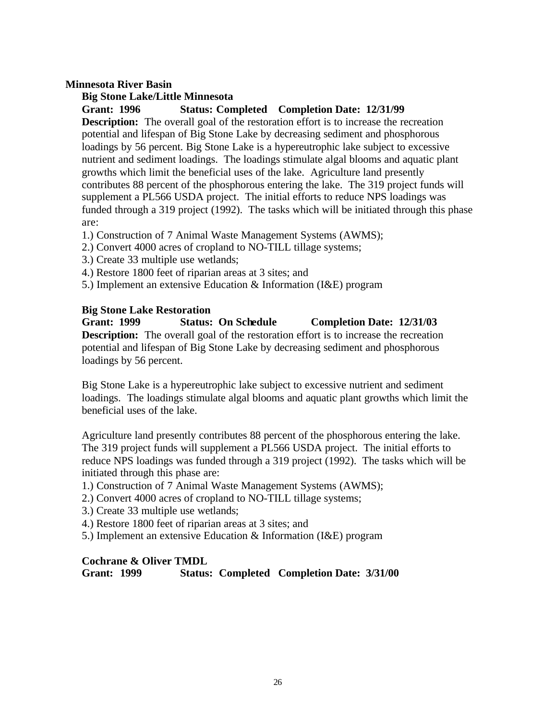## **Minnesota River Basin**

#### **Big Stone Lake/Little Minnesota**

**Grant: 1996 Status: Completed Completion Date: 12/31/99**

**Description:** The overall goal of the restoration effort is to increase the recreation potential and lifespan of Big Stone Lake by decreasing sediment and phosphorous loadings by 56 percent. Big Stone Lake is a hypereutrophic lake subject to excessive nutrient and sediment loadings. The loadings stimulate algal blooms and aquatic plant growths which limit the beneficial uses of the lake. Agriculture land presently contributes 88 percent of the phosphorous entering the lake. The 319 project funds will supplement a PL566 USDA project. The initial efforts to reduce NPS loadings was funded through a 319 project (1992). The tasks which will be initiated through this phase are:

- 1.) Construction of 7 Animal Waste Management Systems (AWMS);
- 2.) Convert 4000 acres of cropland to NO-TILL tillage systems;
- 3.) Create 33 multiple use wetlands;
- 4.) Restore 1800 feet of riparian areas at 3 sites; and
- 5.) Implement an extensive Education & Information (I&E) program

#### **Big Stone Lake Restoration**

**Grant: 1999 Status: On Schedule Completion Date: 12/31/03 Description:** The overall goal of the restoration effort is to increase the recreation potential and lifespan of Big Stone Lake by decreasing sediment and phosphorous loadings by 56 percent.

Big Stone Lake is a hypereutrophic lake subject to excessive nutrient and sediment loadings. The loadings stimulate algal blooms and aquatic plant growths which limit the beneficial uses of the lake.

Agriculture land presently contributes 88 percent of the phosphorous entering the lake. The 319 project funds will supplement a PL566 USDA project. The initial efforts to reduce NPS loadings was funded through a 319 project (1992). The tasks which will be initiated through this phase are:

1.) Construction of 7 Animal Waste Management Systems (AWMS);

2.) Convert 4000 acres of cropland to NO-TILL tillage systems;

3.) Create 33 multiple use wetlands;

- 4.) Restore 1800 feet of riparian areas at 3 sites; and
- 5.) Implement an extensive Education & Information (I&E) program

#### **Cochrane & Oliver TMDL**

**Grant: 1999 Status: Completed Completion Date: 3/31/00**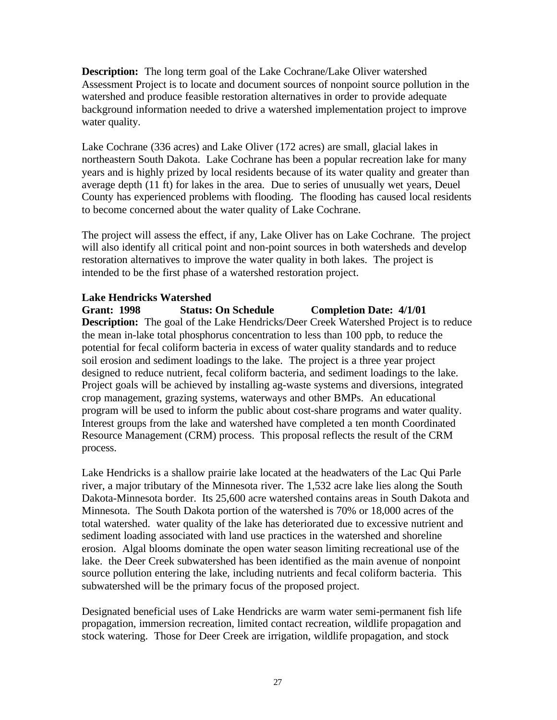**Description:** The long term goal of the Lake Cochrane/Lake Oliver watershed Assessment Project is to locate and document sources of nonpoint source pollution in the watershed and produce feasible restoration alternatives in order to provide adequate background information needed to drive a watershed implementation project to improve water quality.

Lake Cochrane (336 acres) and Lake Oliver (172 acres) are small, glacial lakes in northeastern South Dakota. Lake Cochrane has been a popular recreation lake for many years and is highly prized by local residents because of its water quality and greater than average depth (11 ft) for lakes in the area. Due to series of unusually wet years, Deuel County has experienced problems with flooding. The flooding has caused local residents to become concerned about the water quality of Lake Cochrane.

The project will assess the effect, if any, Lake Oliver has on Lake Cochrane. The project will also identify all critical point and non-point sources in both watersheds and develop restoration alternatives to improve the water quality in both lakes. The project is intended to be the first phase of a watershed restoration project.

# **Lake Hendricks Watershed**

**Grant: 1998 Status: On Schedule Completion Date: 4/1/01 Description:** The goal of the Lake Hendricks/Deer Creek Watershed Project is to reduce the mean in-lake total phosphorus concentration to less than 100 ppb, to reduce the potential for fecal coliform bacteria in excess of water quality standards and to reduce soil erosion and sediment loadings to the lake. The project is a three year project designed to reduce nutrient, fecal coliform bacteria, and sediment loadings to the lake. Project goals will be achieved by installing ag-waste systems and diversions, integrated crop management, grazing systems, waterways and other BMPs. An educational program will be used to inform the public about cost-share programs and water quality. Interest groups from the lake and watershed have completed a ten month Coordinated Resource Management (CRM) process. This proposal reflects the result of the CRM process.

Lake Hendricks is a shallow prairie lake located at the headwaters of the Lac Qui Parle river, a major tributary of the Minnesota river. The 1,532 acre lake lies along the South Dakota-Minnesota border. Its 25,600 acre watershed contains areas in South Dakota and Minnesota. The South Dakota portion of the watershed is 70% or 18,000 acres of the total watershed. water quality of the lake has deteriorated due to excessive nutrient and sediment loading associated with land use practices in the watershed and shoreline erosion. Algal blooms dominate the open water season limiting recreational use of the lake. the Deer Creek subwatershed has been identified as the main avenue of nonpoint source pollution entering the lake, including nutrients and fecal coliform bacteria. This subwatershed will be the primary focus of the proposed project.

Designated beneficial uses of Lake Hendricks are warm water semi-permanent fish life propagation, immersion recreation, limited contact recreation, wildlife propagation and stock watering. Those for Deer Creek are irrigation, wildlife propagation, and stock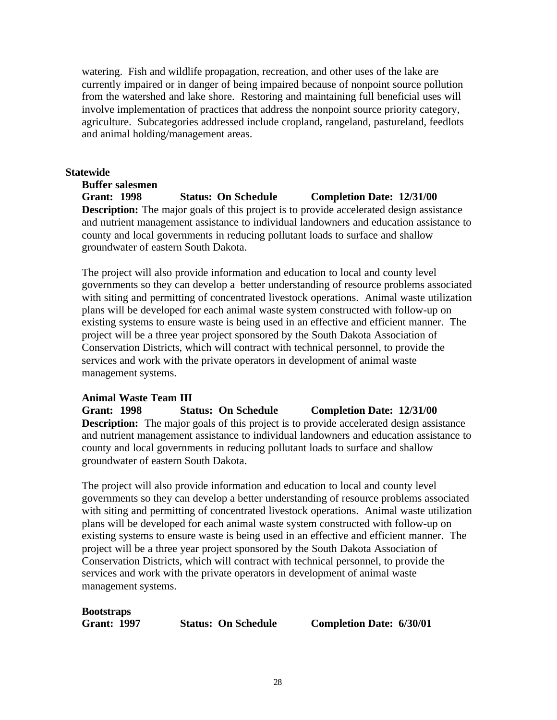watering. Fish and wildlife propagation, recreation, and other uses of the lake are currently impaired or in danger of being impaired because of nonpoint source pollution from the watershed and lake shore. Restoring and maintaining full beneficial uses will involve implementation of practices that address the nonpoint source priority category, agriculture. Subcategories addressed include cropland, rangeland, pastureland, feedlots and animal holding/management areas.

## **Statewide**

**Buffer salesmen Grant: 1998 Status: On Schedule Completion Date: 12/31/00 Description:** The major goals of this project is to provide accelerated design assistance and nutrient management assistance to individual landowners and education assistance to county and local governments in reducing pollutant loads to surface and shallow groundwater of eastern South Dakota.

The project will also provide information and education to local and county level governments so they can develop a better understanding of resource problems associated with siting and permitting of concentrated livestock operations. Animal waste utilization plans will be developed for each animal waste system constructed with follow-up on existing systems to ensure waste is being used in an effective and efficient manner. The project will be a three year project sponsored by the South Dakota Association of Conservation Districts, which will contract with technical personnel, to provide the services and work with the private operators in development of animal waste management systems.

# **Animal Waste Team III**

**Grant: 1998 Status: On Schedule Completion Date: 12/31/00 Description:** The major goals of this project is to provide accelerated design assistance and nutrient management assistance to individual landowners and education assistance to county and local governments in reducing pollutant loads to surface and shallow groundwater of eastern South Dakota.

The project will also provide information and education to local and county level governments so they can develop a better understanding of resource problems associated with siting and permitting of concentrated livestock operations. Animal waste utilization plans will be developed for each animal waste system constructed with follow-up on existing systems to ensure waste is being used in an effective and efficient manner. The project will be a three year project sponsored by the South Dakota Association of Conservation Districts, which will contract with technical personnel, to provide the services and work with the private operators in development of animal waste management systems.

# **Bootstraps**

**Grant: 1997 Status: On Schedule Completion Date: 6/30/01**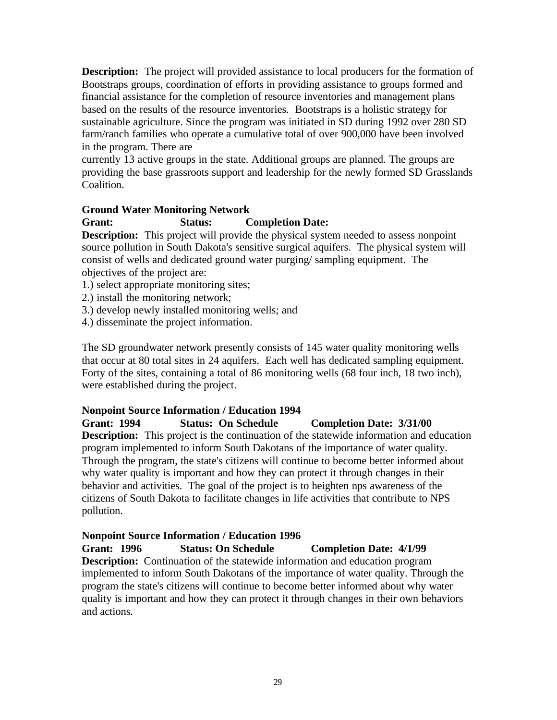**Description:** The project will provided assistance to local producers for the formation of Bootstraps groups, coordination of efforts in providing assistance to groups formed and financial assistance for the completion of resource inventories and management plans based on the results of the resource inventories. Bootstraps is a holistic strategy for sustainable agriculture. Since the program was initiated in SD during 1992 over 280 SD farm/ranch families who operate a cumulative total of over 900,000 have been involved in the program. There are

currently 13 active groups in the state. Additional groups are planned. The groups are providing the base grassroots support and leadership for the newly formed SD Grasslands Coalition.

# **Ground Water Monitoring Network**

# **Grant: Status: Completion Date:**

**Description:** This project will provide the physical system needed to assess nonpoint source pollution in South Dakota's sensitive surgical aquifers. The physical system will consist of wells and dedicated ground water purging/ sampling equipment. The objectives of the project are:

- 1.) select appropriate monitoring sites;
- 2.) install the monitoring network;
- 3.) develop newly installed monitoring wells; and
- 4.) disseminate the project information.

The SD groundwater network presently consists of 145 water quality monitoring wells that occur at 80 total sites in 24 aquifers. Each well has dedicated sampling equipment. Forty of the sites, containing a total of 86 monitoring wells (68 four inch, 18 two inch), were established during the project.

# **Nonpoint Source Information / Education 1994**

## **Grant: 1994 Status: On Schedule Completion Date: 3/31/00 Description:** This project is the continuation of the statewide information and education program implemented to inform South Dakotans of the importance of water quality. Through the program, the state's citizens will continue to become better informed about why water quality is important and how they can protect it through changes in their behavior and activities. The goal of the project is to heighten nps awareness of the citizens of South Dakota to facilitate changes in life activities that contribute to NPS pollution.

# **Nonpoint Source Information / Education 1996**

**Grant: 1996 Status: On Schedule Completion Date: 4/1/99 Description:** Continuation of the statewide information and education program implemented to inform South Dakotans of the importance of water quality. Through the program the state's citizens will continue to become better informed about why water quality is important and how they can protect it through changes in their own behaviors and actions.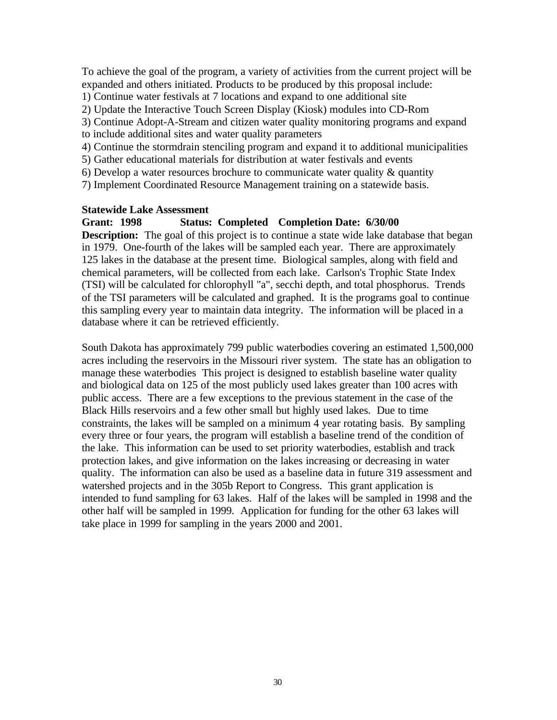To achieve the goal of the program, a variety of activities from the current project will be expanded and others initiated. Products to be produced by this proposal include:

1) Continue water festivals at 7 locations and expand to one additional site

2) Update the Interactive Touch Screen Display (Kiosk) modules into CD-Rom

- 3) Continue Adopt-A-Stream and citizen water quality monitoring programs and expand to include additional sites and water quality parameters
- 4) Continue the stormdrain stenciling program and expand it to additional municipalities
- 5) Gather educational materials for distribution at water festivals and events
- 6) Develop a water resources brochure to communicate water quality  $\&$  quantity
- 7) Implement Coordinated Resource Management training on a statewide basis.

#### **Statewide Lake Assessment**

#### **Grant: 1998 Status: Completed Completion Date: 6/30/00**

**Description:** The goal of this project is to continue a state wide lake database that began in 1979. One-fourth of the lakes will be sampled each year. There are approximately 125 lakes in the database at the present time. Biological samples, along with field and chemical parameters, will be collected from each lake. Carlson's Trophic State Index (TSI) will be calculated for chlorophyll "a", secchi depth, and total phosphorus. Trends of the TSI parameters will be calculated and graphed. It is the programs goal to continue this sampling every year to maintain data integrity. The information will be placed in a database where it can be retrieved efficiently.

South Dakota has approximately 799 public waterbodies covering an estimated 1,500,000 acres including the reservoirs in the Missouri river system. The state has an obligation to manage these waterbodies This project is designed to establish baseline water quality and biological data on 125 of the most publicly used lakes greater than 100 acres with public access. There are a few exceptions to the previous statement in the case of the Black Hills reservoirs and a few other small but highly used lakes. Due to time constraints, the lakes will be sampled on a minimum 4 year rotating basis. By sampling every three or four years, the program will establish a baseline trend of the condition of the lake. This information can be used to set priority waterbodies, establish and track protection lakes, and give information on the lakes increasing or decreasing in water quality. The information can also be used as a baseline data in future 319 assessment and watershed projects and in the 305b Report to Congress. This grant application is intended to fund sampling for 63 lakes. Half of the lakes will be sampled in 1998 and the other half will be sampled in 1999. Application for funding for the other 63 lakes will take place in 1999 for sampling in the years 2000 and 2001.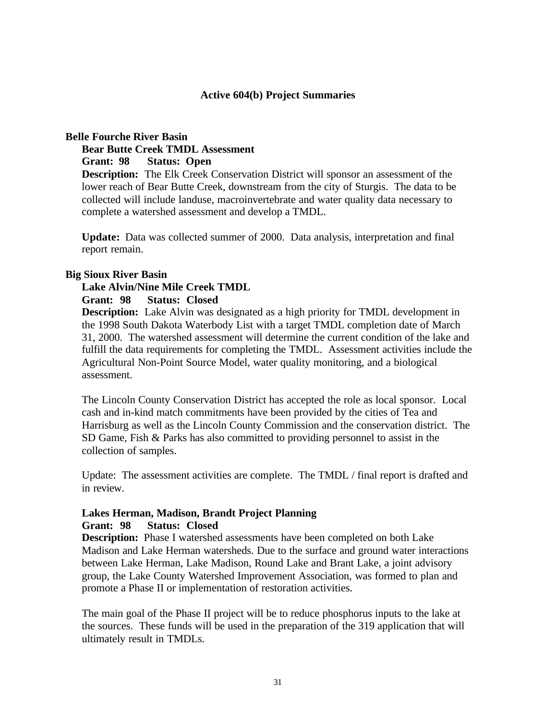#### **Active 604(b) Project Summaries**

#### **Belle Fourche River Basin**

**Bear Butte Creek TMDL Assessment**

**Grant: 98 Status: Open**

**Description:** The Elk Creek Conservation District will sponsor an assessment of the lower reach of Bear Butte Creek, downstream from the city of Sturgis. The data to be collected will include landuse, macroinvertebrate and water quality data necessary to complete a watershed assessment and develop a TMDL.

**Update:** Data was collected summer of 2000. Data analysis, interpretation and final report remain.

#### **Big Sioux River Basin**

#### **Lake Alvin/Nine Mile Creek TMDL**

#### **Grant: 98 Status: Closed**

**Description:** Lake Alvin was designated as a high priority for TMDL development in the 1998 South Dakota Waterbody List with a target TMDL completion date of March 31, 2000. The watershed assessment will determine the current condition of the lake and fulfill the data requirements for completing the TMDL. Assessment activities include the Agricultural Non-Point Source Model, water quality monitoring, and a biological assessment.

The Lincoln County Conservation District has accepted the role as local sponsor. Local cash and in-kind match commitments have been provided by the cities of Tea and Harrisburg as well as the Lincoln County Commission and the conservation district. The SD Game, Fish & Parks has also committed to providing personnel to assist in the collection of samples.

Update: The assessment activities are complete. The TMDL / final report is drafted and in review.

# **Lakes Herman, Madison, Brandt Project Planning**

#### **Grant: 98 Status: Closed**

**Description:** Phase I watershed assessments have been completed on both Lake Madison and Lake Herman watersheds. Due to the surface and ground water interactions between Lake Herman, Lake Madison, Round Lake and Brant Lake, a joint advisory group, the Lake County Watershed Improvement Association, was formed to plan and promote a Phase II or implementation of restoration activities.

The main goal of the Phase II project will be to reduce phosphorus inputs to the lake at the sources. These funds will be used in the preparation of the 319 application that will ultimately result in TMDLs.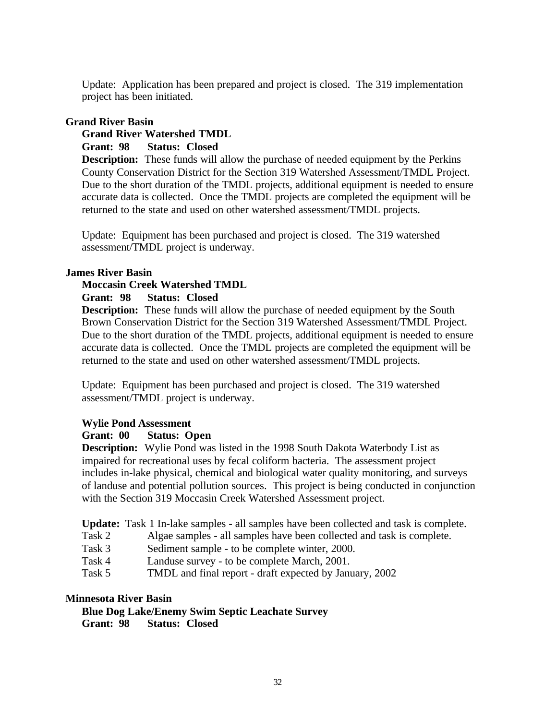Update: Application has been prepared and project is closed. The 319 implementation project has been initiated.

## **Grand River Basin**

## **Grand River Watershed TMDL**

**Grant: 98 Status: Closed**

**Description:** These funds will allow the purchase of needed equipment by the Perkins County Conservation District for the Section 319 Watershed Assessment/TMDL Project. Due to the short duration of the TMDL projects, additional equipment is needed to ensure accurate data is collected. Once the TMDL projects are completed the equipment will be returned to the state and used on other watershed assessment/TMDL projects.

Update: Equipment has been purchased and project is closed. The 319 watershed assessment/TMDL project is underway.

#### **James River Basin**

## **Moccasin Creek Watershed TMDL**

**Grant: 98 Status: Closed**

**Description:** These funds will allow the purchase of needed equipment by the South Brown Conservation District for the Section 319 Watershed Assessment/TMDL Project. Due to the short duration of the TMDL projects, additional equipment is needed to ensure accurate data is collected. Once the TMDL projects are completed the equipment will be returned to the state and used on other watershed assessment/TMDL projects.

Update: Equipment has been purchased and project is closed. The 319 watershed assessment/TMDL project is underway.

## **Wylie Pond Assessment**

## **Grant: 00 Status: Open**

**Description:** Wylie Pond was listed in the 1998 South Dakota Waterbody List as impaired for recreational uses by fecal coliform bacteria. The assessment project includes in-lake physical, chemical and biological water quality monitoring, and surveys of landuse and potential pollution sources. This project is being conducted in conjunction with the Section 319 Moccasin Creek Watershed Assessment project.

**Update:** Task 1 In-lake samples - all samples have been collected and task is complete.

- Task 2 Algae samples all samples have been collected and task is complete.
- Task 3 Sediment sample to be complete winter, 2000.
- Task 4 Landuse survey to be complete March, 2001.
- Task 5 TMDL and final report draft expected by January, 2002

#### **Minnesota River Basin**

**Blue Dog Lake/Enemy Swim Septic Leachate Survey Grant: 98 Status: Closed**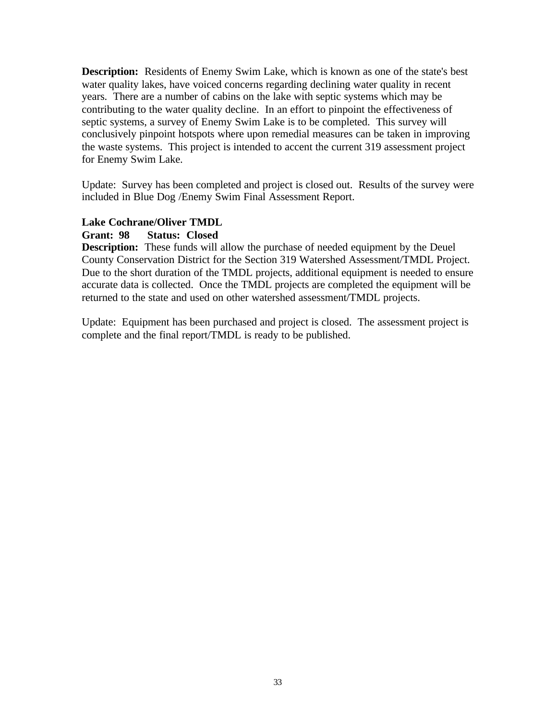**Description:** Residents of Enemy Swim Lake, which is known as one of the state's best water quality lakes, have voiced concerns regarding declining water quality in recent years. There are a number of cabins on the lake with septic systems which may be contributing to the water quality decline. In an effort to pinpoint the effectiveness of septic systems, a survey of Enemy Swim Lake is to be completed. This survey will conclusively pinpoint hotspots where upon remedial measures can be taken in improving the waste systems. This project is intended to accent the current 319 assessment project for Enemy Swim Lake.

Update: Survey has been completed and project is closed out. Results of the survey were included in Blue Dog /Enemy Swim Final Assessment Report.

#### **Lake Cochrane/Oliver TMDL**

#### **Grant: 98 Status: Closed**

**Description:** These funds will allow the purchase of needed equipment by the Deuel County Conservation District for the Section 319 Watershed Assessment/TMDL Project. Due to the short duration of the TMDL projects, additional equipment is needed to ensure accurate data is collected. Once the TMDL projects are completed the equipment will be returned to the state and used on other watershed assessment/TMDL projects.

Update: Equipment has been purchased and project is closed. The assessment project is complete and the final report/TMDL is ready to be published.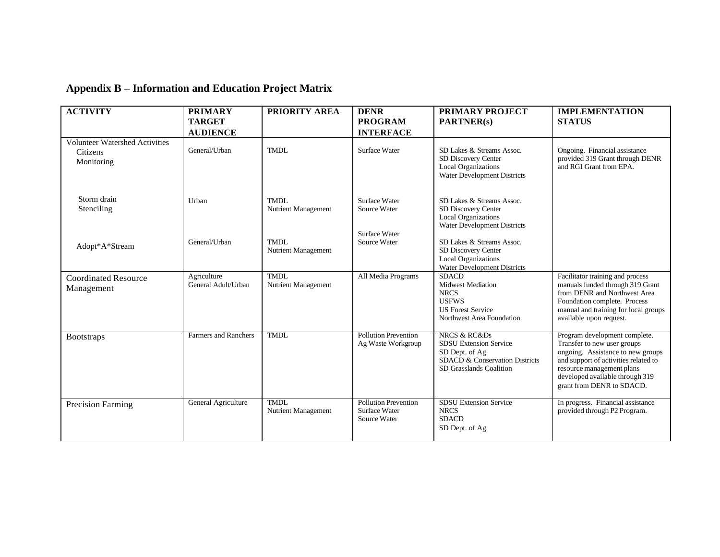# **Appendix B – Information and Education Project Matrix**

| <b>ACTIVITY</b>                                                 | <b>PRIMARY</b>                     | PRIORITY AREA                                              | <b>DENR</b>                                                    | <b>PRIMARY PROJECT</b>                                                                                                                                                                                                         | <b>IMPLEMENTATION</b>                                                                                                                                                                                                                  |
|-----------------------------------------------------------------|------------------------------------|------------------------------------------------------------|----------------------------------------------------------------|--------------------------------------------------------------------------------------------------------------------------------------------------------------------------------------------------------------------------------|----------------------------------------------------------------------------------------------------------------------------------------------------------------------------------------------------------------------------------------|
|                                                                 | <b>TARGET</b>                      |                                                            | <b>PROGRAM</b>                                                 | PARTNER(s)                                                                                                                                                                                                                     | <b>STATUS</b>                                                                                                                                                                                                                          |
|                                                                 | <b>AUDIENCE</b>                    |                                                            | <b>INTERFACE</b>                                               |                                                                                                                                                                                                                                |                                                                                                                                                                                                                                        |
| <b>Volunteer Watershed Activities</b><br>Citizens<br>Monitoring | General/Urban                      | <b>TMDL</b>                                                | <b>Surface Water</b>                                           | SD Lakes & Streams Assoc.<br>SD Discovery Center<br>Local Organizations<br>Water Development Districts                                                                                                                         | Ongoing. Financial assistance<br>provided 319 Grant through DENR<br>and RGI Grant from EPA.                                                                                                                                            |
| Storm drain<br>Stenciling<br>Adopt*A*Stream                     | Urban<br>General/Urban             | TMDL<br>Nutrient Management<br>TMDL<br>Nutrient Management | Surface Water<br>Source Water<br>Surface Water<br>Source Water | SD Lakes & Streams Assoc.<br>SD Discovery Center<br><b>Local Organizations</b><br>Water Development Districts<br>SD Lakes & Streams Assoc.<br>SD Discovery Center<br><b>Local Organizations</b><br>Water Development Districts |                                                                                                                                                                                                                                        |
| <b>Coordinated Resource</b><br>Management                       | Agriculture<br>General Adult/Urban | <b>TMDL</b><br>Nutrient Management                         | All Media Programs                                             | <b>SDACD</b><br><b>Midwest Mediation</b><br><b>NRCS</b><br><b>USFWS</b><br><b>US Forest Service</b><br>Northwest Area Foundation                                                                                               | Facilitator training and process<br>manuals funded through 319 Grant<br>from DENR and Northwest Area<br>Foundation complete. Process<br>manual and training for local groups<br>available upon request.                                |
| <b>Bootstraps</b>                                               | Farmers and Ranchers               | <b>TMDL</b>                                                | <b>Pollution Prevention</b><br>Ag Waste Workgroup              | <b>NRCS &amp; RC&amp;Ds</b><br><b>SDSU Extension Service</b><br>SD Dept. of Ag<br>SDACD & Conservation Districts<br>SD Grasslands Coalition                                                                                    | Program development complete.<br>Transfer to new user groups<br>ongoing. Assistance to new groups<br>and support of activities related to<br>resource management plans<br>developed available through 319<br>grant from DENR to SDACD. |
| <b>Precision Farming</b>                                        | General Agriculture                | TMDL<br>Nutrient Management                                | <b>Pollution Prevention</b><br>Surface Water<br>Source Water   | <b>SDSU</b> Extension Service<br><b>NRCS</b><br><b>SDACD</b><br>SD Dept. of Ag                                                                                                                                                 | In progress. Financial assistance<br>provided through P2 Program.                                                                                                                                                                      |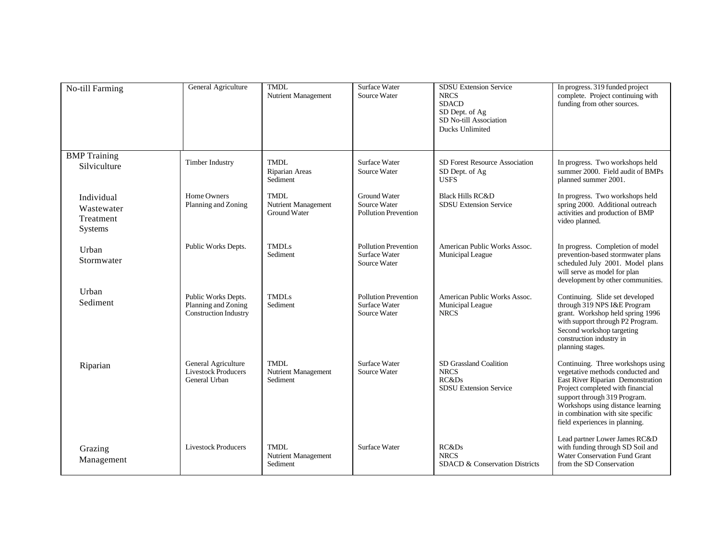| No-till Farming                                  | General Agriculture                                                        | <b>TMDL</b><br>Nutrient Management                        | <b>Surface Water</b><br>Source Water                                | <b>SDSU</b> Extension Service<br><b>NRCS</b><br><b>SDACD</b><br>SD Dept. of Ag<br>SD No-till Association<br>Ducks Unlimited | In progress. 319 funded project<br>complete. Project continuing with<br>funding from other sources.                                                                                                                                                                                        |
|--------------------------------------------------|----------------------------------------------------------------------------|-----------------------------------------------------------|---------------------------------------------------------------------|-----------------------------------------------------------------------------------------------------------------------------|--------------------------------------------------------------------------------------------------------------------------------------------------------------------------------------------------------------------------------------------------------------------------------------------|
| <b>BMP</b> Training<br>Silviculture              | <b>Timber Industry</b>                                                     | TMDL<br>Riparian Areas<br>Sediment                        | Surface Water<br>Source Water                                       | <b>SD Forest Resource Association</b><br>SD Dept. of Ag<br><b>USFS</b>                                                      | In progress. Two workshops held<br>summer 2000. Field audit of BMPs<br>planned summer 2001.                                                                                                                                                                                                |
| Individual<br>Wastewater<br>Treatment<br>Systems | Home Owners<br>Planning and Zoning                                         | <b>TMDL</b><br>Nutrient Management<br><b>Ground Water</b> | Ground Water<br>Source Water<br><b>Pollution Prevention</b>         | <b>Black Hills RC&amp;D</b><br><b>SDSU</b> Extension Service                                                                | In progress. Two workshops held<br>spring 2000. Additional outreach<br>activities and production of BMP<br>video planned.                                                                                                                                                                  |
| Urban<br>Stormwater                              | Public Works Depts.                                                        | TMDL <sub>s</sub><br>Sediment                             | <b>Pollution Prevention</b><br>Surface Water<br>Source Water        | American Public Works Assoc.<br>Municipal League                                                                            | In progress. Completion of model<br>prevention-based stormwater plans<br>scheduled July 2001. Model plans<br>will serve as model for plan<br>development by other communities.                                                                                                             |
| Urban<br>Sediment                                | Public Works Depts.<br>Planning and Zoning<br><b>Construction Industry</b> | <b>TMDLs</b><br>Sediment                                  | <b>Pollution Prevention</b><br><b>Surface Water</b><br>Source Water | American Public Works Assoc.<br>Municipal League<br><b>NRCS</b>                                                             | Continuing. Slide set developed<br>through 319 NPS I&E Program<br>grant. Workshop held spring 1996<br>with support through P2 Program.<br>Second workshop targeting<br>construction industry in<br>planning stages.                                                                        |
| Riparian                                         | General Agriculture<br><b>Livestock Producers</b><br>General Urban         | TMDL<br>Nutrient Management<br>Sediment                   | Surface Water<br>Source Water                                       | SD Grassland Coalition<br><b>NRCS</b><br><b>RC&amp;Ds</b><br><b>SDSU Extension Service</b>                                  | Continuing. Three workshops using<br>vegetative methods conducted and<br>East River Riparian Demonstration<br>Project completed with financial<br>support through 319 Program.<br>Workshops using distance learning<br>in combination with site specific<br>field experiences in planning. |
| Grazing<br>Management                            | <b>Livestock Producers</b>                                                 | <b>TMDL</b><br>Nutrient Management<br>Sediment            | Surface Water                                                       | RC&Ds<br><b>NRCS</b><br>SDACD & Conservation Districts                                                                      | Lead partner Lower James RC&D<br>with funding through SD Soil and<br>Water Conservation Fund Grant<br>from the SD Conservation                                                                                                                                                             |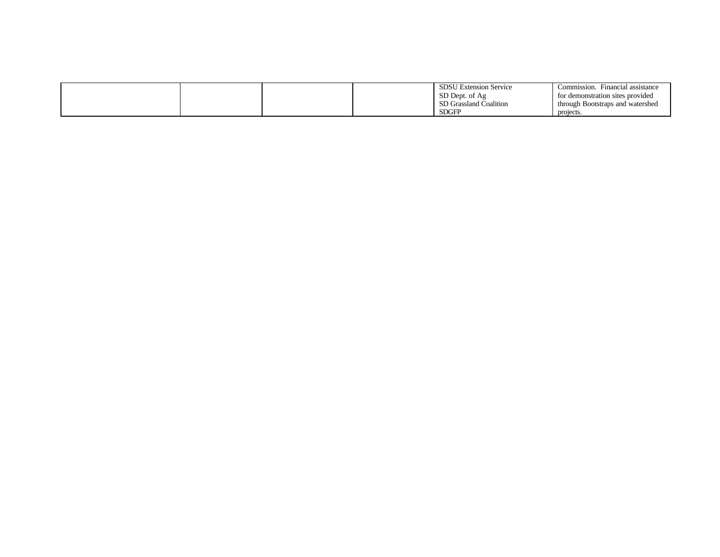|  |  | <b>SDSU Extension Service</b> | Financial assistance<br>Commission. |
|--|--|-------------------------------|-------------------------------------|
|  |  | SD Dept. of Ag                | for demonstration sites provided    |
|  |  | SD Grassland Coalition        | through Bootstraps and watershed    |
|  |  | <b>SDGFP</b>                  | projects.                           |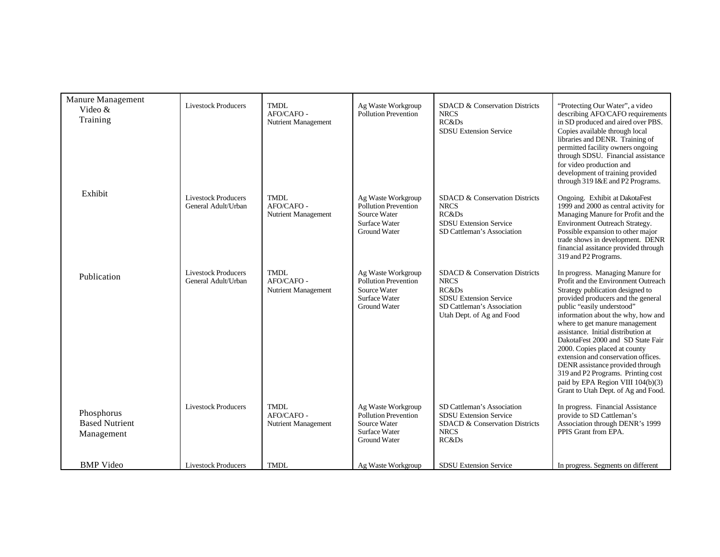| Manure Management<br>Video &<br>Training          | <b>Livestock Producers</b>                        | <b>TMDL</b><br>AFO/CAFO -<br>Nutrient Management | Ag Waste Workgroup<br><b>Pollution Prevention</b>                                                         | SDACD & Conservation Districts<br><b>NRCS</b><br>RC&Ds<br><b>SDSU</b> Extension Service                                                                       | "Protecting Our Water", a video<br>describing AFO/CAFO requirements<br>in SD produced and aired over PBS.<br>Copies available through local<br>libraries and DENR. Training of<br>permitted facility owners ongoing<br>through SDSU. Financial assistance<br>for video production and<br>development of training provided<br>through 319 I&E and P2 Programs.                                                                                                                                                                                                     |
|---------------------------------------------------|---------------------------------------------------|--------------------------------------------------|-----------------------------------------------------------------------------------------------------------|---------------------------------------------------------------------------------------------------------------------------------------------------------------|-------------------------------------------------------------------------------------------------------------------------------------------------------------------------------------------------------------------------------------------------------------------------------------------------------------------------------------------------------------------------------------------------------------------------------------------------------------------------------------------------------------------------------------------------------------------|
| Exhibit                                           | <b>Livestock Producers</b><br>General Adult/Urban | <b>TMDL</b><br>AFO/CAFO -<br>Nutrient Management | Ag Waste Workgroup<br><b>Pollution Prevention</b><br>Source Water<br>Surface Water<br>Ground Water        | SDACD & Conservation Districts<br><b>NRCS</b><br>RC&Ds<br><b>SDSU</b> Extension Service<br>SD Cattleman's Association                                         | Ongoing. Exhibit at DakotaFest<br>1999 and 2000 as central activity for<br>Managing Manure for Profit and the<br>Environment Outreach Strategy.<br>Possible expansion to other major<br>trade shows in development. DENR<br>financial assitance provided through<br>319 and P2 Programs.                                                                                                                                                                                                                                                                          |
| Publication                                       | <b>Livestock Producers</b><br>General Adult/Urban | <b>TMDL</b><br>AFO/CAFO -<br>Nutrient Management | Ag Waste Workgroup<br><b>Pollution Prevention</b><br>Source Water<br><b>Surface Water</b><br>Ground Water | <b>SDACD &amp; Conservation Districts</b><br><b>NRCS</b><br>RC&Ds<br><b>SDSU</b> Extension Service<br>SD Cattleman's Association<br>Utah Dept. of Ag and Food | In progress. Managing Manure for<br>Profit and the Environment Outreach<br>Strategy publication designed to<br>provided producers and the general<br>public "easily understood"<br>information about the why, how and<br>where to get manure management<br>assistance. Initial distribution at<br>DakotaFest 2000 and SD State Fair<br>2000. Copies placed at county<br>extension and conservation offices.<br>DENR assistance provided through<br>319 and P2 Programs. Printing cost<br>paid by EPA Region VIII 104(b)(3)<br>Grant to Utah Dept. of Ag and Food. |
| Phosphorus<br><b>Based Nutrient</b><br>Management | <b>Livestock Producers</b>                        | <b>TMDL</b><br>AFO/CAFO -<br>Nutrient Management | Ag Waste Workgroup<br>Pollution Prevention<br>Source Water<br><b>Surface Water</b><br>Ground Water        | SD Cattleman's Association<br><b>SDSU Extension Service</b><br>SDACD & Conservation Districts<br><b>NRCS</b><br>RC&Ds                                         | In progress. Financial Assistance<br>provide to SD Cattleman's<br>Association through DENR's 1999<br>PPIS Grant from EPA.                                                                                                                                                                                                                                                                                                                                                                                                                                         |
| <b>BMP</b> Video                                  | <b>Livestock Producers</b>                        | <b>TMDL</b>                                      | Ag Waste Workgroup                                                                                        | <b>SDSU</b> Extension Service                                                                                                                                 | In progress. Segments on different                                                                                                                                                                                                                                                                                                                                                                                                                                                                                                                                |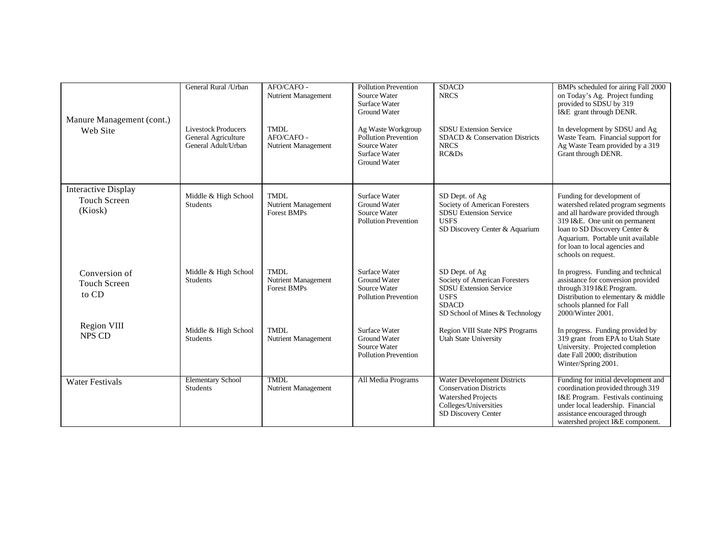|                                                              | General Rural / Urban                                                    | AFO/CAFO -                                               | <b>Pollution Prevention</b>                                                                               | <b>SDACD</b>                                                                                                                                       | BMPs scheduled for airing Fall 2000                                                                                                                                                                                                                                    |
|--------------------------------------------------------------|--------------------------------------------------------------------------|----------------------------------------------------------|-----------------------------------------------------------------------------------------------------------|----------------------------------------------------------------------------------------------------------------------------------------------------|------------------------------------------------------------------------------------------------------------------------------------------------------------------------------------------------------------------------------------------------------------------------|
| Manure Management (cont.)                                    |                                                                          | Nutrient Management                                      | Source Water<br>Surface Water<br><b>Ground Water</b>                                                      | <b>NRCS</b>                                                                                                                                        | on Today's Ag. Project funding<br>provided to SDSU by 319<br>I&E grant through DENR.                                                                                                                                                                                   |
| Web Site                                                     | <b>Livestock Producers</b><br>General Agriculture<br>General Adult/Urban | <b>TMDL</b><br>AFO/CAFO -<br>Nutrient Management         | Ag Waste Workgroup<br><b>Pollution Prevention</b><br>Source Water<br>Surface Water<br><b>Ground Water</b> | <b>SDSU Extension Service</b><br>SDACD & Conservation Districts<br><b>NRCS</b><br>RC&Ds                                                            | In development by SDSU and Ag<br>Waste Team. Financial support for<br>Ag Waste Team provided by a 319<br>Grant through DENR.                                                                                                                                           |
| <b>Interactive Display</b><br><b>Touch Screen</b><br>(Kiosk) | Middle & High School<br><b>Students</b>                                  | <b>TMDL</b><br>Nutrient Management<br><b>Forest BMPs</b> | Surface Water<br>Ground Water<br>Source Water<br><b>Pollution Prevention</b>                              | SD Dept. of Ag<br>Society of American Foresters<br><b>SDSU Extension Service</b><br><b>USFS</b><br>SD Discovery Center & Aquarium                  | Funding for development of<br>watershed related program segments<br>and all hardware provided through<br>319 I&E. One unit on permanent<br>loan to SD Discovery Center &<br>Aquarium. Portable unit available<br>for loan to local agencies and<br>schools on request. |
| Conversion of<br><b>Touch Screen</b><br>to CD                | Middle & High School<br><b>Students</b>                                  | <b>TMDL</b><br>Nutrient Management<br><b>Forest BMPs</b> | Surface Water<br><b>Ground Water</b><br>Source Water<br><b>Pollution Prevention</b>                       | SD Dept. of Ag<br>Society of American Foresters<br><b>SDSU Extension Service</b><br><b>USFS</b><br><b>SDACD</b><br>SD School of Mines & Technology | In progress. Funding and technical<br>assistance for conversion provided<br>through 319 I&E Program.<br>Distribution to elementary & middle<br>schools planned for Fall<br>2000/Winter 2001.                                                                           |
| Region VIII<br>NPS CD                                        | Middle & High School<br><b>Students</b>                                  | <b>TMDL</b><br>Nutrient Management                       | Surface Water<br><b>Ground Water</b><br>Source Water<br><b>Pollution Prevention</b>                       | Region VIII State NPS Programs<br><b>Utah State University</b>                                                                                     | In progress. Funding provided by<br>319 grant from EPA to Utah State<br>University. Projected completion<br>date Fall 2000; distribution<br>Winter/Spring 2001.                                                                                                        |
| <b>Water Festivals</b>                                       | <b>Elementary School</b><br><b>Students</b>                              | <b>TMDL</b><br>Nutrient Management                       | All Media Programs                                                                                        | <b>Water Development Districts</b><br><b>Conservation Districts</b><br><b>Watershed Projects</b><br>Colleges/Universities<br>SD Discovery Center   | Funding for initial development and<br>coordination provided through 319<br>I&E Program. Festivals continuing<br>under local leadership. Financial<br>assistance encouraged through<br>watershed project I&E component.                                                |